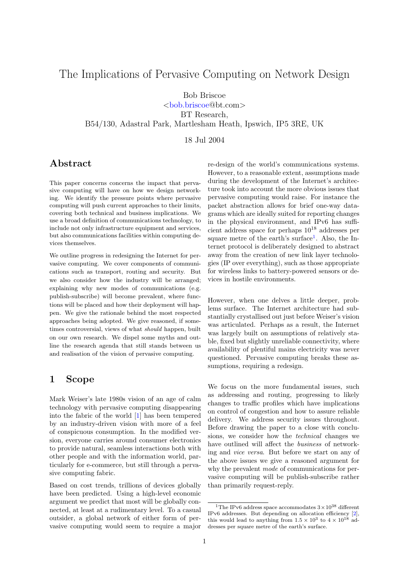## The Implications of Pervasive Computing on Network Design

Bob Briscoe

<[bob.briscoe@](mailto:bob.briscoe@bt.com)bt.com>

BT Research,

B54/130, Adastral Park, Martlesham Heath, Ipswich, IP5 3RE, UK

18 Jul 2004

## Abstract

This paper concerns concerns the impact that pervasive computing will have on how we design networking. We identify the pressure points where pervasive computing will push current approaches to their limits, covering both technical and business implications. We use a broad definition of communications technology, to include not only infrastructure equipment and services, but also communications facilities within computing devices themselves.

We outline progress in redesigning the Internet for pervasive computing. We cover components of communications such as transport, routing and security. But we also consider how the industry will be arranged; explaining why new modes of communications (e.g. publish-subscribe) will become prevalent, where functions will be placed and how their deployment will happen. We give the rationale behind the most respected approaches being adopted. We give reasoned, if sometimes controversial, views of what should happen, built on our own research. We dispel some myths and outline the research agenda that still stands between us and realisation of the vision of pervasive computing.

## 1 Scope

Mark Weiser's late 1980s vision of an age of calm technology with pervasive computing disappearing into the fabric of the world [\[1\]](#page-18-0) has been tempered by an industry-driven vision with more of a feel of conspicuous consumption. In the modified version, everyone carries around consumer electronics to provide natural, seamless interactions both with other people and with the information world, particularly for e-commerce, but still through a pervasive computing fabric.

Based on cost trends, trillions of devices globally have been predicted. Using a high-level economic argument we predict that most will be globally connected, at least at a rudimentary level. To a casual outsider, a global network of either form of pervasive computing would seem to require a major re-design of the world's communications systems. However, to a reasonable extent, assumptions made during the development of the Internet's architecture took into account the more obvious issues that pervasive computing would raise. For instance the packet abstraction allows for brief one-way datagrams which are ideally suited for reporting changes in the physical environment, and IPv6 has sufficient address space for perhaps  $10^{18}$  addresses per square metre of the earth's surface<sup>[1](#page-0-0)</sup>. Also, the Internet protocol is deliberately designed to abstract away from the creation of new link layer technologies (IP over everything), such as those appropriate for wireless links to battery-powered sensors or devices in hostile environments.

However, when one delves a little deeper, problems surface. The Internet architecture had substantially crystallised out just before Weiser's vision was articulated. Perhaps as a result, the Internet was largely built on assumptions of relatively stable, fixed but slightly unreliable connectivity, where availability of plentiful mains electricity was never questioned. Pervasive computing breaks these assumptions, requiring a redesign.

We focus on the more fundamental issues, such as addressing and routing, progressing to likely changes to traffic profiles which have implications on control of congestion and how to assure reliable delivery. We address security issues throughout. Before drawing the paper to a close with conclusions, we consider how the technical changes we have outlined will affect the business of networking and vice versa. But before we start on any of the above issues we give a reasoned argument for why the prevalent *mode* of communications for pervasive computing will be publish-subscribe rather than primarily request-reply.

<span id="page-0-0"></span><sup>&</sup>lt;sup>1</sup>The IPv6 address space accommodates  $3 \times 10^{38}$  different IPv6 addresses. But depending on allocation efficiency [\[2\]](#page-18-1), this would lead to anything from  $1.5 \times 10^3$  to  $4 \times 10^{18}$  addresses per square metre of the earth's surface.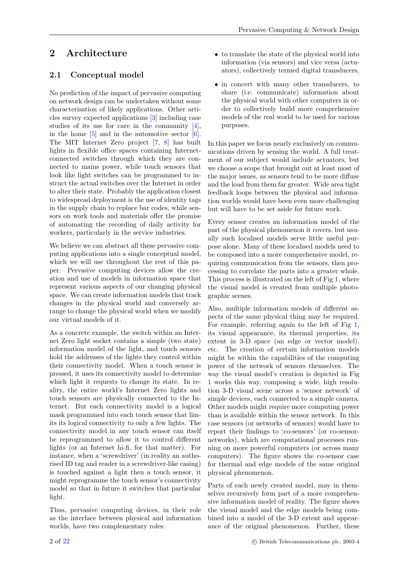## 2 Architecture

## <span id="page-1-0"></span>2.1 Conceptual model

No prediction of the impact of pervasive computing on network design can be undertaken without some characterisation of likely applications. Other articles survey expected applications [\[3\]](#page-18-2) including case studies of its use for care in the community [\[4\]](#page-18-3), in the home  $[5]$  and in the automotive sector  $[6]$ . The MIT Internet Zero project [\[7,](#page-18-6) [8\]](#page-18-7) has built lights in flexible office spaces containing Internetconnected switches through which they are connected to mains power, while touch sensors that look like light switches can be programmed to instruct the actual switches over the Internet in order to alter their state. Probably the application closest to widespread deployment is the use of identity tags in the supply chain to replace bar codes, while sensors on work tools and materials offer the promise of automating the recording of daily activity for workers, particularly in the service industries.

We believe we can abstract all these pervasive computing applications into a single conceptual model, which we will use throughout the rest of this paper. Pervasive computing devices allow the creation and use of models in information space that represent various aspects of our changing physical space. We can create information models that track changes in the physical world and conversely arrange to change the physical world when we modify our virtual models of it.

As a concrete example, the switch within an Internet Zero light socket contains a simple (two state) information model of the light, and touch sensors hold the addresses of the lights they control within their connectivity model. When a touch sensor is pressed, it uses its connectivity model to determine which light it requests to change its state. In reality, the entire world's Internet Zero lights and touch sensors are physically connected to the Internet. But each connectivity model is a logical mask programmed into each touch sensor that limits its logical connectivity to only a few lights. The connectivity model in any touch sensor can itself be reprogrammed to allow it to control different lights (or an Internet hi-fi, for that matter). For instance, when a 'screwdriver' (in reality an authorised ID tag and reader in a screwdriver-like casing) is touched against a light then a touch sensor, it might reprogramme the touch sensor's connectivity model so that in future it switches that particular light.

Thus, pervasive computing devices, in their role as the interface between physical and information worlds, have two complementary roles:

- to translate the state of the physical world into information (via sensors) and vice versa (actuators), collectively termed digital transducers,
- in concert with many other transducers, to share (i.e. communicate) information about the physical world with other computers in order to collectively build more comprehensive models of the real world to be used for various purposes.

In this paper we focus nearly exclusively on communications driven by sensing the world. A full treatment of our subject would include actuators, but we choose a scope that brought out at least most of the major issues, as sensors tend to be more diffuse and the load from them far greater. Wide area tight feedback loops between the physical and information worlds would have been even more challenging but will have to be set aside for future work.

Every sensor creates an information model of the part of the physical phenomenon it covers, but usually such localised models serve little useful purpose alone. Many of these localised models need to be composed into a more comprehensive model, requiring communication from the sensors, then processing to correlate the parts into a greater whole. This process is illustrated on the left of Fig [1,](#page-2-0) where the visual model is created from multiple photographic scenes.

Also, multiple information models of different aspects of the same physical thing may be required. For example, referring again to the left of Fig [1,](#page-2-0) its visual appearance, its thermal properties, its extent in 3-D space (an edge or vector model), etc. The creation of certain information models might be within the capabilities of the computing power of the network of sensors themselves. The way the visual model's creation is depicted in Fig [1](#page-2-0) works this way, composing a wide, high resolution 3-D visual scene across a 'sensor network' of simple devices, each connected to a simple camera. Other models might require more computing power than is available within the sensor network. In this case sensors (or networks of sensors) would have to report their findings to 'co-sensors' (or co-sensornetworks), which are computational processes running on more powerful computers (or across many computers). The figure shows the co-sensor case for thermal and edge models of the same original physical phenomenon.

Parts of each newly created model, may in themselves recursively form part of a more comprehensive information model of reality. The figure shows the visual model and the edge models being combined into a model of the 3-D extent and appearance of the original phenomenon. Further, these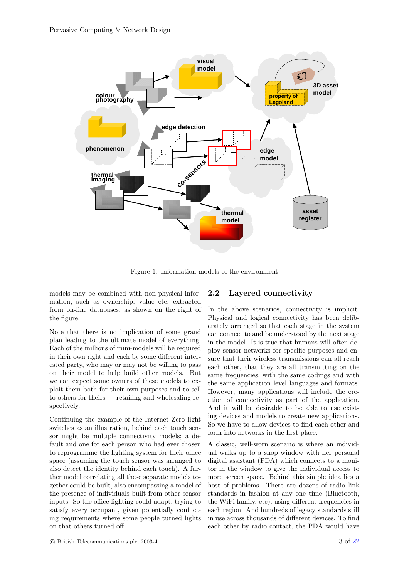

<span id="page-2-0"></span>Figure 1: Information models of the environment

models may be combined with non-physical information, such as ownership, value etc, extracted from on-line databases, as shown on the right of the figure.

Note that there is no implication of some grand plan leading to the ultimate model of everything. Each of the millions of mini-models will be required in their own right and each by some different interested party, who may or may not be willing to pass on their model to help build other models. But we can expect some owners of these models to exploit them both for their own purposes and to sell to others for theirs — retailing and wholesaling respectively.

Continuing the example of the Internet Zero light switches as an illustration, behind each touch sensor might be multiple connectivity models; a default and one for each person who had ever chosen to reprogramme the lighting system for their office space (assuming the touch sensor was arranged to also detect the identity behind each touch). A further model correlating all these separate models together could be built, also encompassing a model of the presence of individuals built from other sensor inputs. So the office lighting could adapt, trying to satisfy every occupant, given potentially conflicting requirements where some people turned lights on that others turned off.

## <span id="page-2-1"></span>2.2 Layered connectivity

In the above scenarios, connectivity is implicit. Physical and logical connectivity has been deliberately arranged so that each stage in the system can connect to and be understood by the next stage in the model. It is true that humans will often deploy sensor networks for specific purposes and ensure that their wireless transmissions can all reach each other, that they are all transmitting on the same frequencies, with the same codings and with the same application level languages and formats. However, many applications will include the creation of connectivity as part of the application. And it will be desirable to be able to use existing devices and models to create new applications. So we have to allow devices to find each other and form into networks in the first place.

A classic, well-worn scenario is where an individual walks up to a shop window with her personal digital assistant (PDA) which connects to a monitor in the window to give the individual access to more screen space. Behind this simple idea lies a host of problems. There are dozens of radio link standards in fashion at any one time (Bluetooth, the WiFi family, etc), using different frequencies in each region. And hundreds of legacy standards still in use across thousands of different devices. To find each other by radio contact, the PDA would have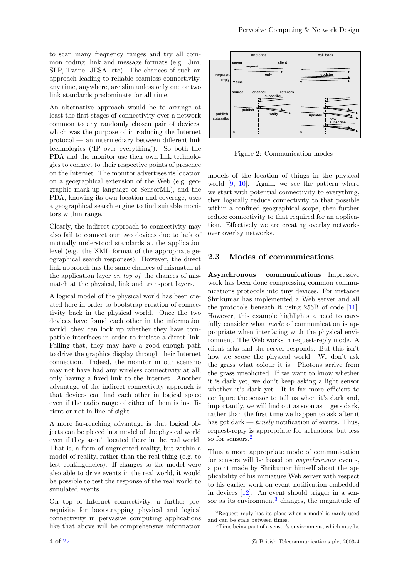to scan many frequency ranges and try all common coding, link and message formats (e.g. Jini, SLP, Twine, JESA, etc). The chances of such an approach leading to reliable seamless connectivity, any time, anywhere, are slim unless only one or two link standards predominate for all time.

An alternative approach would be to arrange at least the first stages of connectivity over a network common to any randomly chosen pair of devices, which was the purpose of introducing the Internet protocol — an intermediary between different link technologies ('IP over everything'). So both the PDA and the monitor use their own link technologies to connect to their respective points of presence on the Internet. The monitor advertises its location on a geographical extension of the Web (e.g. geographic mark-up language or SensorML), and the PDA, knowing its own location and coverage, uses a geographical search engine to find suitable monitors within range.

Clearly, the indirect approach to connectivity may also fail to connect our two devices due to lack of mutually understood standards at the application level (e.g. the XML format of the appropriate geographical search responses). However, the direct link approach has the same chances of mismatch at the application layer on top of the chances of mismatch at the physical, link and transport layers.

A logical model of the physical world has been created here in order to bootstrap creation of connectivity back in the physical world. Once the two devices have found each other in the information world, they can look up whether they have compatible interfaces in order to initiate a direct link. Failing that, they may have a good enough path to drive the graphics display through their Internet connection. Indeed, the monitor in our scenario may not have had any wireless connectivity at all, only having a fixed link to the Internet. Another advantage of the indirect connectivity approach is that devices can find each other in logical space even if the radio range of either of them is insufficient or not in line of sight.

A more far-reaching advantage is that logical objects can be placed in a model of the physical world even if they aren't located there in the real world. That is, a form of augmented reality, but within a model of reality, rather than the real thing (e.g. to test contingencies). If changes to the model were also able to drive events in the real world, it would be possible to test the response of the real world to simulated events.

On top of Internet connectivity, a further prerequisite for bootstrapping physical and logical connectivity in pervasive computing applications like that above will be comprehensive information



<span id="page-3-2"></span>Figure 2: Communication modes

models of the location of things in the physical world [\[9,](#page-18-8) [10\]](#page-18-9). Again, we see the pattern where we start with potential connectivity to everything, then logically reduce connectivity to that possible within a confined geographical scope, then further reduce connectivity to that required for an application. Effectively we are creating overlay networks over overlay networks.

#### <span id="page-3-3"></span>2.3 Modes of communications

Asynchronous communications Impressive work has been done compressing common communications protocols into tiny devices. For instance Shrikumar has implemented a Web server and all the protocols beneath it using 256B of code [\[11\]](#page-18-10). However, this example highlights a need to carefully consider what *mode* of communication is appropriate when interfacing with the physical environment. The Web works in request-reply mode. A client asks and the server responds. But this isn't how we sense the physical world. We don't ask the grass what colour it is. Photons arrive from the grass unsolicited. If we want to know whether it is dark yet, we don't keep asking a light sensor whether it's dark yet. It is far more efficient to configure the sensor to tell us when it's dark and, importantly, we will find out as soon as it gets dark, rather than the first time we happen to ask after it has got dark —  $timely$  notification of events. Thus, request-reply is appropriate for actuators, but less so for sensors.<sup>[2](#page-3-0)</sup>

Thus a more appropriate mode of communication for sensors will be based on asynchronous events, a point made by Shrikumar himself about the applicability of his miniature Web server with respect to his earlier work on event notification embedded in devices  $[12]$ . An event should trigger in a sen-sor as its environment<sup>[3](#page-3-1)</sup> changes, the magnitude of

<sup>2</sup>Request-reply has its place when a model is rarely used and can be stale between times.

<span id="page-3-1"></span><span id="page-3-0"></span><sup>3</sup>Time being part of a sensor's environment, which may be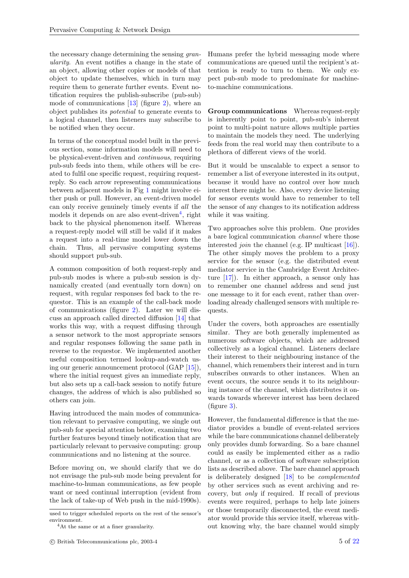the necessary change determining the sensing *gran*ularity. An event notifies a change in the state of an object, allowing other copies or models of that object to update themselves, which in turn may require them to generate further events. Event notification requires the publish-subscribe (pub-sub) mode of communications [\[13\]](#page-18-12) (figure [2\)](#page-3-2), where an object publishes its potential to generate events to a logical channel, then listeners may subscribe to be notified when they occur.

In terms of the conceptual model built in the previous section, some information models will need to be physical-event-driven and continuous, requiring pub-sub feeds into them, while others will be created to fulfil one specific request, requiring requestreply. So each arrow representing communications between adjacent models in Fig [1](#page-2-0) might involve either push or pull. However, an event-driven model can only receive genuinely timely events if all the models it depends on are also event-driven<sup>[4](#page-4-0)</sup>, right back to the physical phenomenon itself. Whereas a request-reply model will still be valid if it makes a request into a real-time model lower down the chain. Thus, all pervasive computing systems should support pub-sub.

A common composition of both request-reply and pub-sub modes is where a pub-sub session is dynamically created (and eventually torn down) on request, with regular responses fed back to the requestor. This is an example of the call-back mode of communications (figure [2\)](#page-3-2). Later we will discuss an approach called directed diffusion [\[14\]](#page-18-13) that works this way, with a request diffusing through a sensor network to the most appropriate sensors and regular responses following the same path in reverse to the requestor. We implemented another useful composition termed lookup-and-watch using our generic announcement protocol (GAP [\[15\]](#page-18-14)), where the initial request gives an immediate reply. but also sets up a call-back session to notify future changes, the address of which is also published so others can join.

Having introduced the main modes of communication relevant to pervasive computing, we single out pub-sub for special attention below, examining two further features beyond timely notification that are particularly relevant to pervasive computing: group communications and no listening at the source.

Before moving on, we should clarify that we do not envisage the pub-sub mode being prevalent for machine-to-human communications, as few people want or need continual interruption (evident from the lack of take-up of Web push in the mid-1990s).

Humans prefer the hybrid messaging mode where communications are queued until the recipient's attention is ready to turn to them. We only expect pub-sub mode to predominate for machineto-machine communications.

Group communications Whereas request-reply is inherently point to point, pub-sub's inherent point to multi-point nature allows multiple parties to maintain the models they need. The underlying feeds from the real world may then contribute to a plethora of different views of the world.

But it would be unscalable to expect a sensor to remember a list of everyone interested in its output, because it would have no control over how much interest there might be. Also, every device listening for sensor events would have to remember to tell the sensor of any changes to its notification address while it was waiting.

Two approaches solve this problem. One provides a bare logical communication channel where those interested join the channel (e.g. IP multicast [\[16\]](#page-18-15)). The other simply moves the problem to a proxy service for the sensor (e.g. the distributed event mediator service in the Cambridge Event Architecture [\[17\]](#page-18-16)). In either approach, a sensor only has to remember one channel address and send just one message to it for each event, rather than overloading already challenged sensors with multiple requests.

Under the covers, both approaches are essentially similar. They are both generally implemented as numerous software objects, which are addressed collectively as a logical channel. Listeners declare their interest to their neighbouring instance of the channel, which remembers their interest and in turn subscribes onwards to other instances. When an event occurs, the source sends it to its neighbouring instance of the channel, which distributes it onwards towards wherever interest has been declared  $(figure 3)$  $(figure 3)$ .

However, the fundamental difference is that the mediator provides a bundle of event-related services while the bare communications channel deliberately only provides dumb forwarding. So a bare channel could as easily be implemented either as a radio channel, or as a collection of software subscription lists as described above. The bare channel approach is deliberately designed [\[18\]](#page-18-17) to be complemented by other services such as event archiving and recovery, but only if required. If recall of previous events were required, perhaps to help late joiners or those temporarily disconnected, the event mediator would provide this service itself, whereas without knowing why, the bare channel would simply

used to trigger scheduled reports on the rest of the sensor's environment.

<span id="page-4-0"></span><sup>4</sup>At the same or at a finer granularity.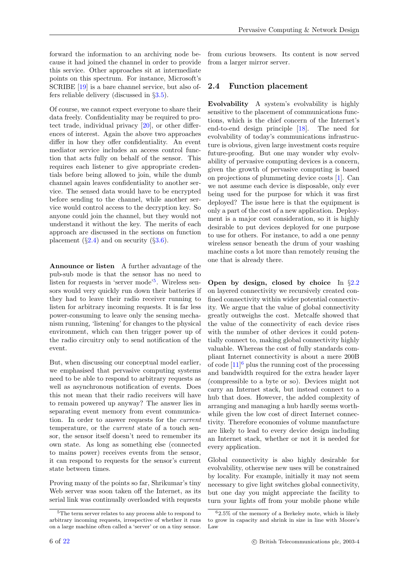forward the information to an archiving node because it had joined the channel in order to provide this service. Other approaches sit at intermediate points on this spectrum. For instance, Microsoft's SCRIBE [\[19\]](#page-18-18) is a bare channel service, but also offers reliable delivery (discussed in §[3.5\)](#page-12-0).

Of course, we cannot expect everyone to share their data freely. Confidentiality may be required to protect trade, individual privacy [\[20\]](#page-18-19), or other differences of interest. Again the above two approaches differ in how they offer confidentiality. An event mediator service includes an access control function that acts fully on behalf of the sensor. This requires each listener to give appropriate credentials before being allowed to join, while the dumb channel again leaves confidentiality to another service. The sensed data would have to be encrypted before sending to the channel, while another service would control access to the decryption key. So anyone could join the channel, but they would not understand it without the key. The merits of each approach are discussed in the sections on function placement  $(\S2.4)$  $(\S2.4)$  and on security  $(\S3.6)$  $(\S3.6)$ .

Announce or listen A further advantage of the pub-sub mode is that the sensor has no need to listen for requests in 'server mode'[5](#page-5-1) . Wireless sensors would very quickly run down their batteries if they had to leave their radio receiver running to listen for arbitrary incoming requests. It is far less power-consuming to leave only the sensing mechanism running, 'listening' for changes to the physical environment, which can then trigger power up of the radio circuitry only to send notification of the event.

But, when discussing our conceptual model earlier, we emphasised that pervasive computing systems need to be able to respond to arbitrary requests as well as asynchronous notification of events. Does this not mean that their radio receivers will have to remain powered up anyway? The answer lies in separating event memory from event communication. In order to answer requests for the current temperature, or the current state of a touch sensor, the sensor itself doesn't need to remember its own state. As long as something else (connected to mains power) receives events from the sensor, it can respond to requests for the sensor's current state between times.

Proving many of the points so far, Shrikumar's tiny Web server was soon taken off the Internet, as its serial link was continually overloaded with requests from curious browsers. Its content is now served from a larger mirror server.

#### <span id="page-5-0"></span>2.4 Function placement

Evolvability A system's evolvability is highly sensitive to the placement of communications functions, which is the chief concern of the Internet's end-to-end design principle [\[18\]](#page-18-17). The need for evolvability of today's communications infrastructure is obvious, given large investment costs require future-proofing. But one may wonder why evolvability of pervasive computing devices is a concern, given the growth of pervasive computing is based on projections of plummeting device costs [\[1\]](#page-18-0). Can we not assume each device is disposable, only ever being used for the purpose for which it was first deployed? The issue here is that the equipment is only a part of the cost of a new application. Deployment is a major cost consideration, so it is highly desirable to put devices deployed for one purpose to use for others. For instance, to add a one penny wireless sensor beneath the drum of your washing machine costs a lot more than remotely reusing the one that is already there.

Open by design, closed by choice In  $\S 2.2$  $\S 2.2$ on layered connectivity we recursively created confined connectivity within wider potential connectivity. We argue that the value of global connectivity greatly outweighs the cost. Metcalfe showed that the value of the connectivity of each device rises with the number of other devices it could potentially connect to, making global connectivity highly valuable. Whereas the cost of fully standards compliant Internet connectivity is about a mere 200B of code  $[11]^{6}$  $[11]^{6}$  $[11]^{6}$  $[11]^{6}$  plus the running cost of the processing and bandwidth required for the extra header layer (compressible to a byte or so). Devices might not carry an Internet stack, but instead connect to a hub that does. However, the added complexity of arranging and managing a hub hardly seems worthwhile given the low cost of direct Internet connectivity. Therefore economies of volume manufacture are likely to lead to every device design including an Internet stack, whether or not it is needed for every application.

Global connectivity is also highly desirable for evolvability, otherwise new uses will be constrained by locality. For example, initially it may not seem necessary to give light switches global connectivity, but one day you might appreciate the facility to turn your lights off from your mobile phone while

<span id="page-5-1"></span><sup>5</sup>The term server relates to any process able to respond to arbitrary incoming requests, irrespective of whether it runs on a large machine often called a 'server' or on a tiny sensor.

<span id="page-5-2"></span> $62.5\%$  of the memory of a Berkeley mote, which is likely to grow in capacity and shrink in size in line with Moore's Law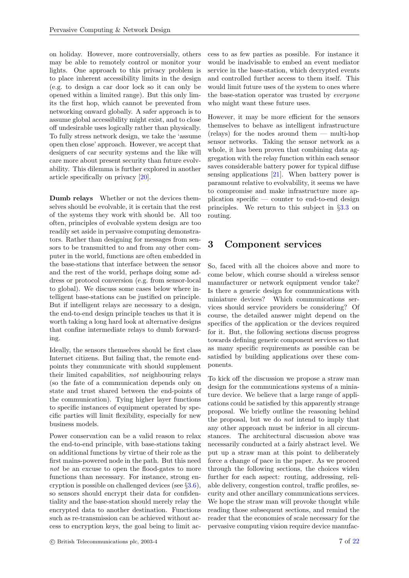on holiday. However, more controversially, others may be able to remotely control or monitor your lights. One approach to this privacy problem is to place inherent accessibility limits in the design (e.g. to design a car door lock so it can only be opened within a limited range). But this only limits the first hop, which cannot be prevented from networking onward globally. A safer approach is to assume global accessibility might exist, and to close off undesirable uses logically rather than physically. To fully stress network design, we take the 'assume open then close' approach. However, we accept that designers of car security systems and the like will care more about present security than future evolvability. This dilemma is further explored in another article specifically on privacy [\[20\]](#page-18-19).

Dumb relays Whether or not the devices themselves should be evolvable, it is certain that the rest of the systems they work with should be. All too often, principles of evolvable system design are too readily set aside in pervasive computing demonstrators. Rather than designing for messages from sensors to be transmitted to and from any other computer in the world, functions are often embedded in the base-stations that interface between the sensor and the rest of the world, perhaps doing some address or protocol conversion (e.g. from sensor-local to global). We discuss some cases below where intelligent base-stations can be justified on principle. But if intelligent relays are necessary to a design, the end-to-end design principle teaches us that it is worth taking a long hard look at alternative designs that confine intermediate relays to dumb forwarding.

Ideally, the sensors themselves should be first class Internet citizens. But failing that, the remote endpoints they communicate with should supplement their limited capabilities, not neighbouring relays (so the fate of a communication depends only on state and trust shared between the end-points of the communication). Tying higher layer functions to specific instances of equipment operated by specific parties will limit flexibility, especially for new business models.

Power conservation can be a valid reason to relax the end-to-end principle, with base-stations taking on additional functions by virtue of their role as the first mains-powered node in the path. But this need not be an excuse to open the flood-gates to more functions than necessary. For instance, strong encryption is possible on challenged devices (see  $\S 3.6$ ), so sensors should encrypt their data for confidentiality and the base-station should merely relay the encrypted data to another destination. Functions such as re-transmission can be achieved without access to encryption keys, the goal being to limit access to as few parties as possible. For instance it would be inadvisable to embed an event mediator service in the base-station, which decrypted events and controlled further access to them itself. This would limit future uses of the system to ones where the base-station operator was trusted by everyone who might want these future uses.

However, it may be more efficient for the sensors themselves to behave as intelligent infrastructure (relays) for the nodes around them — multi-hop sensor networks. Taking the sensor network as a whole, it has been proven that combining data aggregation with the relay function within each sensor saves considerable battery power for typical diffuse sensing applications [\[21\]](#page-18-20). When battery power is paramount relative to evolvability, it seems we have to compromise and make infrastructure more application specific — counter to end-to-end design principles. We return to this subject in §[3.3](#page-8-0) on routing.

## 3 Component services

So, faced with all the choices above and more to come below, which course should a wireless sensor manufacturer or network equipment vendor take? Is there a generic design for communications with miniature devices? Which communications services should service providers be considering? Of course, the detailed answer might depend on the specifics of the application or the devices required for it. But, the following sections discuss progress towards defining generic component services so that as many specific requirements as possible can be satisfied by building applications over these components.

To kick off the discussion we propose a straw man design for the communications systems of a miniature device. We believe that a large range of applications could be satisfied by this apparently strange proposal. We briefly outline the reasoning behind the proposal, but we do not intend to imply that any other approach must be inferior in all circumstances. The architectural discussion above was necessarily conducted at a fairly abstract level. We put up a straw man at this point to deliberately force a change of pace in the paper. As we proceed through the following sections, the choices widen further for each aspect: routing, addressing, reliable delivery, congestion control, traffic profiles, security and other ancillary communications services. We hope the straw man will provoke thought while reading those subsequent sections, and remind the reader that the economies of scale necessary for the pervasive computing vision require device manufac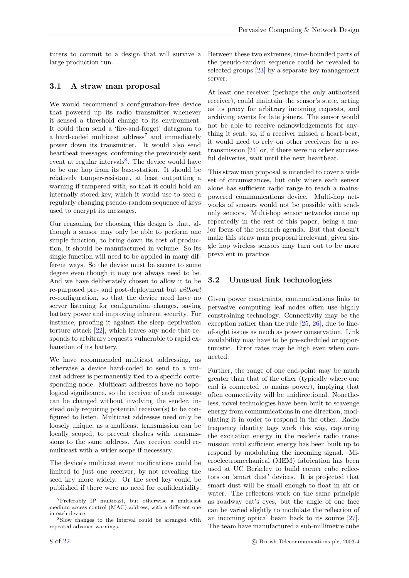turers to commit to a design that will survive a large production run.

#### <span id="page-7-3"></span>3.1 A straw man proposal

We would recommend a configuration-free device that powered up its radio transmitter whenever it sensed a threshold change to its environment. It could then send a 'fire-and-forget' datagram to a hard-coded multicast address<sup>[7](#page-7-0)</sup> and immediately power down its transmitter. It would also send heartbeat messages, confirming the previously sent event at regular intervals<sup>[8](#page-7-1)</sup>. The device would have to be one hop from its base-station. It should be relatively tamper-resistant, at least outputting a warning if tampered with, so that it could hold an internally stored key, which it would use to seed a regularly changing pseudo-random sequence of keys used to encrypt its messages.

Our reasoning for choosing this design is that, although a sensor may only be able to perform one simple function, to bring down its cost of production, it should be manufactured in volume. So its single function will need to be applied in many different ways. So the device must be secure to some degree even though it may not always need to be. And we have deliberately chosen to allow it to be re-purposed pre- and post-deployment but without re-configuration, so that the device need have no server listening for configuration changes, saving battery power and improving inherent security. For instance, proofing it against the sleep deprivation torture attack [\[22\]](#page-18-21), which leaves any node that responds to arbitrary requests vulnerable to rapid exhaustion of its battery.

We have recommended multicast addressing, as otherwise a device hard-coded to send to a unicast address is permanently tied to a specific corresponding node. Multicast addresses have no topological significance, so the receiver of each message can be changed without involving the sender, instead only requiring potential receiver(s) to be configured to listen. Multicast addresses need only be loosely unique, as a multicast transmission can be locally scoped, to prevent clashes with transmissions to the same address. Any receiver could remulticast with a wider scope if necessary.

The device's multicast event notifications could be limited to just one receiver, by not revealing the seed key more widely. Or the seed key could be published if there were no need for confidentiality.

Between these two extremes, time-bounded parts of the pseudo-random sequence could be revealed to selected groups [\[23\]](#page-19-0) by a separate key management server.

At least one receiver (perhaps the only authorised receiver), could maintain the sensor's state, acting as its proxy for arbitrary incoming requests, and archiving events for late joiners. The sensor would not be able to receive acknowledgements for anything it sent, so, if a receiver missed a heart-beat, it would need to rely on other receivers for a retransmission [\[24\]](#page-19-1) or, if there were no other successful deliveries, wait until the next heartbeat.

This straw man proposal is intended to cover a wide set of circumstances, but only where each sensor alone has sufficient radio range to reach a mainspowered communications device. Multi-hop networks of sensors would not be possible with sendonly sensors. Multi-hop sensor networks come up repeatedly in the rest of this paper, being a major focus of the research agenda. But that doesn't make this straw man proposal irrelevant, given single hop wireless sensors may turn out to be more prevalent in practice.

### <span id="page-7-2"></span>3.2 Unusual link technologies

Given power constraints, communications links to pervasive computing leaf nodes often use highly constraining technology. Connectivity may be the exception rather than the rule [\[25,](#page-19-2) [26\]](#page-19-3), due to lineof-sight issues as much as power conservation. Link availability may have to be pre-scheduled or opportunistic. Error rates may be high even when connected.

Further, the range of one end-point may be much greater than that of the other (typically where one end is connected to mains power), implying that often connectivity will be unidirectional. Nonetheless, novel technologies have been built to scavenge energy from communications in one direction, modulating it in order to respond in the other. Radio frequency identity tags work this way, capturing the excitation energy in the reader's radio transmission until sufficient energy has been built up to respond by modulating the incoming signal. Microelectromechanical (MEM) fabrication has been used at UC Berkeley to build corner cube reflectors on 'smart dust' devices. It is projected that smart dust will be small enough to float in air or water. The reflectors work on the same principle as roadway cat's eyes, but the angle of one face can be varied slightly to modulate the reflection of an incoming optical beam back to its source [\[27\]](#page-19-4). The team have manufactured a sub-millimetre cube

<span id="page-7-0"></span><sup>7</sup>Preferably IP multicast, but otherwise a multicast medium access control (MAC) address, with a different one in each device.

<span id="page-7-1"></span><sup>8</sup>Slow changes to the interval could be arranged with repeated advance warnings.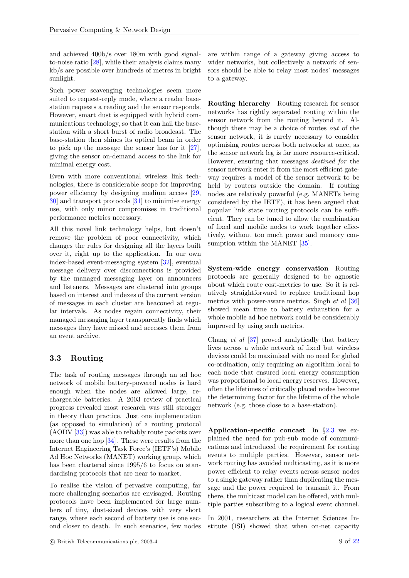and achieved 400b/s over 180m with good signalto-noise ratio [\[28\]](#page-19-5), while their analysis claims many kb/s are possible over hundreds of metres in bright sunlight.

Such power scavenging technologies seem more suited to request-reply mode, where a reader basestation requests a reading and the sensor responds. However, smart dust is equipped with hybrid communications technology, so that it can hail the basestation with a short burst of radio broadcast. The base-station then shines its optical beam in order to pick up the message the sensor has for it [\[27\]](#page-19-4), giving the sensor on-demand access to the link for minimal energy cost.

Even with more conventional wireless link technologies, there is considerable scope for improving power efficiency by designing medium access [\[29,](#page-19-6) [30\]](#page-19-7) and transport protocols [\[31\]](#page-19-8) to minimise energy use, with only minor compromises in traditional performance metrics necessary.

All this novel link technology helps, but doesn't remove the problem of poor connectivity, which changes the rules for designing all the layers built over it, right up to the application. In our own index-based event-messaging system [\[32\]](#page-19-9), eventual message delivery over disconnections is provided by the managed messaging layer on announcers and listeners. Messages are clustered into groups based on interest and indexes of the current version of messages in each cluster are beaconed at regular intervals. As nodes regain connectivity, their managed messaging layer transparently finds which messages they have missed and accesses them from an event archive.

#### <span id="page-8-0"></span>3.3 Routing

The task of routing messages through an ad hoc network of mobile battery-powered nodes is hard enough when the nodes are allowed large, rechargeable batteries. A 2003 review of practical progress revealed most research was still stronger in theory than practice. Just one implementation (as opposed to simulation) of a routing protocol (AODV [\[33\]](#page-19-10)) was able to reliably route packets over more than one hop [\[34\]](#page-19-11). These were results from the Internet Engineering Task Force's (IETF's) Mobile Ad Hoc Networks (MANET) working group, which has been chartered since 1995/6 to focus on standardising protocols that are near to market.

To realise the vision of pervasive computing, far more challenging scenarios are envisaged. Routing protocols have been implemented for large numbers of tiny, dust-sized devices with very short range, where each second of battery use is one second closer to death. In such scenarios, few nodes

are within range of a gateway giving access to wider networks, but collectively a network of sensors should be able to relay most nodes' messages to a gateway.

Routing hierarchy Routing research for sensor networks has rightly separated routing within the sensor network from the routing beyond it. Although there may be a choice of routes out of the sensor network, it is rarely necessary to consider optimising routes across both networks at once, as the sensor network leg is far more resource-critical. However, ensuring that messages destined for the sensor network enter it from the most efficient gateway requires a model of the sensor network to be held by routers outside the domain. If routing nodes are relatively powerful (e.g. MANETs being considered by the IETF), it has been argued that popular link state routing protocols can be sufficient. They can be tuned to allow the combination of fixed and mobile nodes to work together effectively, without too much power and memory con-sumption within the MANET [\[35\]](#page-19-12).

System-wide energy conservation Routing protocols are generally designed to be agnostic about which route cost-metrics to use. So it is relatively straightforward to replace traditional hop metrics with power-aware metrics. Singh *et al* [\[36\]](#page-19-13) showed mean time to battery exhaustion for a whole mobile ad hoc network could be considerably improved by using such metrics.

Chang et al [\[37\]](#page-19-14) proved analytically that battery lives across a whole network of fixed but wireless devices could be maximised with no need for global co-ordination, only requiring an algorithm local to each node that ensured local energy consumption was proportional to local energy reserves. However, often the lifetimes of critically placed nodes become the determining factor for the lifetime of the whole network (e.g. those close to a base-station).

Application-specific concast In  $\S 2.3$  $\S 2.3$  we explained the need for pub-sub mode of communications and introduced the requirement for routing events to multiple parties. However, sensor network routing has avoided multicasting, as it is more power efficient to relay events across sensor nodes to a single gateway rather than duplicating the message and the power required to transmit it. From there, the multicast model can be offered, with multiple parties subscribing to a logical event channel.

In 2001, researchers at the Internet Sciences Institute (ISI) showed that when on-net capacity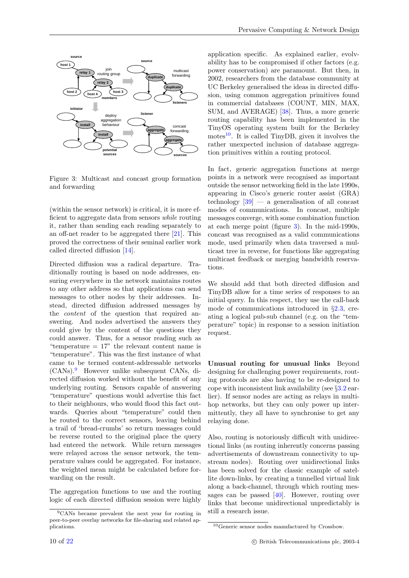

<span id="page-9-0"></span>Figure 3: Multicast and concast group formation and forwarding

(within the sensor network) is critical, it is more efficient to aggregate data from sensors while routing it, rather than sending each reading separately to an off-net reader to be aggregated there [\[21\]](#page-18-20). This proved the correctness of their seminal earlier work called directed diffusion [\[14\]](#page-18-13).

Directed diffusion was a radical departure. Traditionally routing is based on node addresses, ensuring everywhere in the network maintains routes to any other address so that applications can send messages to other nodes by their addresses. Instead, directed diffusion addressed messages by the content of the question that required answering. And nodes advertised the answers they could give by the content of the questions they could answer. Thus, for a sensor reading such as "temperature  $= 17$ " the relevant content name is "temperature". This was the first instance of what came to be termed content-addressable networks (CANs).[9](#page-9-1) However unlike subsequent CANs, directed diffusion worked without the benefit of any underlying routing. Sensors capable of answering "temperature" questions would advertise this fact to their neighbours, who would flood this fact outwards. Queries about "temperature" could then be routed to the correct sensors, leaving behind a trail of 'bread-crumbs' so return messages could be reverse routed to the original place the query had entered the network. While return messages were relayed across the sensor network, the temperature values could be aggregated. For instance, the weighted mean might be calculated before forwarding on the result.

The aggregation functions to use and the routing logic of each directed diffusion session were highly

application specific. As explained earlier, evolvability has to be compromised if other factors (e.g. power conservation) are paramount. But then, in 2002, researchers from the database community at UC Berkeley generalised the ideas in directed diffusion, using common aggregation primitives found in commercial databases (COUNT, MIN, MAX, SUM, and AVERAGE) [\[38\]](#page-19-15). Thus, a more generic routing capability has been implemented in the TinyOS operating system built for the Berkeley motes $^{10}$  $^{10}$  $^{10}$ . It is called TinyDB, given it involves the rather unexpected inclusion of database aggregation primitives within a routing protocol.

In fact, generic aggregation functions at merge points in a network were recognised as important outside the sensor networking field in the late 1990s, appearing in Cisco's generic router assist (GRA) technology  $[39]$  — a generalisation of all concast modes of communications. In concast, multiple messages converge, with some combination function at each merge point (figure [3\)](#page-9-0). In the mid-1990s, concast was recognised as a valid communications mode, used primarily when data traversed a multicast tree in reverse, for functions like aggregating multicast feedback or merging bandwidth reservations.

We should add that both directed diffusion and TinyDB allow for a time series of responses to an initial query. In this respect, they use the call-back mode of communications introduced in §[2.3,](#page-3-3) creating a logical pub-sub channel (e.g. on the "temperature" topic) in response to a session initiation request.

Unusual routing for unusual links Beyond designing for challenging power requirements, routing protocols are also having to be re-designed to cope with inconsistent link availability (see §[3.2](#page-7-2) earlier). If sensor nodes are acting as relays in multihop networks, but they can only power up intermittently, they all have to synchronise to get any relaying done.

Also, routing is notoriously difficult with unidirectional links (as routing inherently concerns passing advertisements of downstream connectivity to upstream nodes). Routing over unidirectional links has been solved for the classic example of satellite down-links, by creating a tunnelled virtual link along a back-channel, through which routing messages can be passed [\[40\]](#page-19-17). However, routing over links that become unidirectional unpredictably is still a research issue.

<span id="page-9-1"></span><sup>9</sup>CANs became prevalent the next year for routing in peer-to-peer overlay networks for file-sharing and related applications.

<span id="page-9-2"></span> $^{10}\rm{Generic}$  sensor nodes manufactured by Crossbow.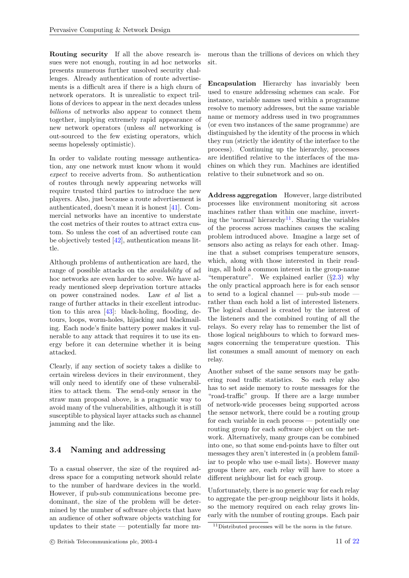Routing security If all the above research issues were not enough, routing in ad hoc networks presents numerous further unsolved security challenges. Already authentication of route advertisements is a difficult area if there is a high churn of network operators. It is unrealistic to expect trillions of devices to appear in the next decades unless billions of networks also appear to connect them together, implying extremely rapid appearance of new network operators (unless all networking is out-sourced to the few existing operators, which seems hopelessly optimistic).

In order to validate routing message authentication, any one network must know whom it would expect to receive adverts from. So authentication of routes through newly appearing networks will require trusted third parties to introduce the new players. Also, just because a route advertisement is authenticated, doesn't mean it is honest [\[41\]](#page-19-18). Commercial networks have an incentive to understate the cost metrics of their routes to attract extra custom. So unless the cost of an advertised route can be objectively tested [\[42\]](#page-19-19), authentication means little.

Although problems of authentication are hard, the range of possible attacks on the availability of ad hoc networks are even harder to solve. We have already mentioned sleep deprivation torture attacks on power constrained nodes. Law et al list a range of further attacks in their excellent introduction to this area  $[43]$ : black-holing, flooding, detours, loops, worm-holes, hijacking and blackmailing. Each node's finite battery power makes it vulnerable to any attack that requires it to use its energy before it can determine whether it is being attacked.

Clearly, if any section of society takes a dislike to certain wireless devices in their environment, they will only need to identify one of these vulnerabilities to attack them. The send-only sensor in the straw man proposal above, is a pragmatic way to avoid many of the vulnerabilities, although it is still susceptible to physical layer attacks such as channel jamming and the like.

### <span id="page-10-1"></span>3.4 Naming and addressing

To a casual observer, the size of the required address space for a computing network should relate to the number of hardware devices in the world. However, if pub-sub communications become predominant, the size of the problem will be determined by the number of software objects that have an audience of other software objects watching for updates to their state — potentially far more numerous than the trillions of devices on which they sit.

Encapsulation Hierarchy has invariably been used to ensure addressing schemes can scale. For instance, variable names used within a programme resolve to memory addresses, but the same variable name or memory address used in two programmes (or even two instances of the same programme) are distinguished by the identity of the process in which they run (strictly the identity of the interface to the process). Continuing up the hierarchy, processes are identified relative to the interfaces of the machines on which they run. Machines are identified relative to their subnetwork and so on.

Address aggregation However, large distributed processes like environment monitoring sit across machines rather than within one machine, invert-ing the 'normal' hierarchy<sup>[11](#page-10-0)</sup>. Sharing the variables of the process across machines causes the scaling problem introduced above. Imagine a large set of sensors also acting as relays for each other. Imagine that a subset comprises temperature sensors, which, along with those interested in their readings, all hold a common interest in the group-name "temperature". We explained earlier  $(\S2.3)$  $(\S2.3)$  why the only practical approach here is for each sensor to send to a logical channel — pub-sub mode rather than each hold a list of interested listeners. The logical channel is created by the interest of the listeners and the combined routing of all the relays. So every relay has to remember the list of those logical neighbours to which to forward messages concerning the temperature question. This list consumes a small amount of memory on each relay.

Another subset of the same sensors may be gathering road traffic statistics. So each relay also has to set aside memory to route messages for the "road-traffic" group. If there are a large number of network-wide processes being supported across the sensor network, there could be a routing group for each variable in each process — potentially one routing group for each software object on the network. Alternatively, many groups can be combined into one, so that some end-points have to filter out messages they aren't interested in (a problem familiar to people who use e-mail lists). However many groups there are, each relay will have to store a different neighbour list for each group.

Unfortunately, there is no generic way for each relay to aggregate the per-group neighbour lists it holds, so the memory required on each relay grows linearly with the number of routing groups. Each pair

<span id="page-10-0"></span><sup>&</sup>lt;sup>11</sup>Distributed processes will be the norm in the future.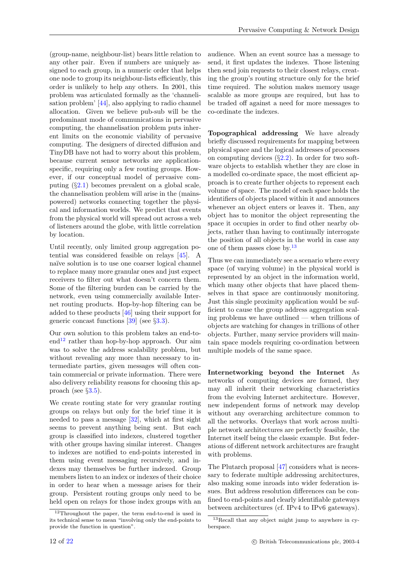(group-name, neighbour-list) bears little relation to any other pair. Even if numbers are uniquely assigned to each group, in a numeric order that helps one node to group its neighbour-lists efficiently, this order is unlikely to help any others. In 2001, this problem was articulated formally as the 'channelisation problem' [\[44\]](#page-20-0), also applying to radio channel allocation. Given we believe pub-sub will be the predominant mode of communications in pervasive computing, the channelisation problem puts inherent limits on the economic viability of pervasive computing. The designers of directed diffusion and TinyDB have not had to worry about this problem, because current sensor networks are applicationspecific, requiring only a few routing groups. However, if our conceptual model of pervasive computing (§[2.1\)](#page-1-0) becomes prevalent on a global scale, the channelisation problem will arise in the (mainspowered) networks connecting together the physical and information worlds. We predict that events from the physical world will spread out across a web of listeners around the globe, with little correlation by location.

Until recently, only limited group aggregation potential was considered feasible on relays [\[45\]](#page-20-1). A naïve solution is to use one coarser logical channel to replace many more granular ones and just expect receivers to filter out what doesn't concern them. Some of the filtering burden can be carried by the network, even using commercially available Internet routing products. Hop-by-hop filtering can be added to these products [\[46\]](#page-20-2) using their support for generic concast functions [\[39\]](#page-19-16) (see §[3.3\)](#page-8-0).

Our own solution to this problem takes an end-to- $\text{end}^{12}$  $\text{end}^{12}$  $\text{end}^{12}$  rather than hop-by-hop approach. Our aim was to solve the address scalability problem, but without revealing any more than necessary to intermediate parties, given messages will often contain commercial or private information. There were also delivery reliability reasons for choosing this approach (see  $\S3.5$ ).

We create routing state for very granular routing groups on relays but only for the brief time it is needed to pass a message [\[32\]](#page-19-9), which at first sight seems to prevent anything being sent. But each group is classified into indexes, clustered together with other groups having similar interest. Changes to indexes are notified to end-points interested in them using event messaging recursively, and indexes may themselves be further indexed. Group members listen to an index or indexes of their choice in order to hear when a message arises for their group. Persistent routing groups only need to be held open on relays for those index groups with an

audience. When an event source has a message to send, it first updates the indexes. Those listening then send join requests to their closest relays, creating the group's routing structure only for the brief time required. The solution makes memory usage scalable as more groups are required, but has to be traded off against a need for more messages to co-ordinate the indexes.

Topographical addressing We have already briefly discussed requirements for mapping between physical space and the logical addresses of processes on computing devices  $(\S2.2)$  $(\S2.2)$ . In order for two software objects to establish whether they are close in a modelled co-ordinate space, the most efficient approach is to create further objects to represent each volume of space. The model of each space holds the identifiers of objects placed within it and announces whenever an object enters or leaves it. Then, any object has to monitor the object representing the space it occupies in order to find other nearby objects, rather than having to continually interrogate the position of all objects in the world in case any one of them passes close by.[13](#page-11-1)

Thus we can immediately see a scenario where every space (of varying volume) in the physical world is represented by an object in the information world, which many other objects that have placed themselves in that space are continuously monitoring. Just this single proximity application would be sufficient to cause the group address aggregation scaling problems we have outlined — when trillions of objects are watching for changes in trillions of other objects. Further, many service providers will maintain space models requiring co-ordination between multiple models of the same space.

Internetworking beyond the Internet As networks of computing devices are formed, they may all inherit their networking characteristics from the evolving Internet architecture. However, new independent forms of network may develop without any overarching architecture common to all the networks. Overlays that work across multiple network architectures are perfectly feasible, the Internet itself being the classic example. But federations of different network architectures are fraught with problems.

The Plutarch proposal [\[47\]](#page-20-3) considers what is necessary to federate multiple addressing architectures, also making some inroads into wider federation issues. But address resolution differences can be confined to end-points and clearly identifiable gateways between architectures (cf. IPv4 to IPv6 gateways).

<span id="page-11-0"></span><sup>12</sup>Throughout the paper, the term end-to-end is used in its technical sense to mean "involving only the end-points to provide the function in question".

<span id="page-11-1"></span><sup>13</sup>Recall that any object might jump to anywhere in cyberspace.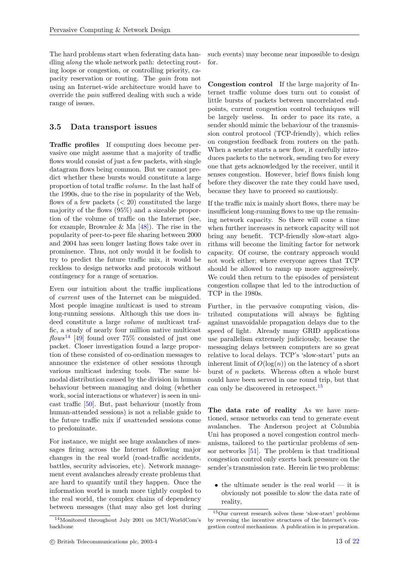The hard problems start when federating data handling *along* the whole network path: detecting routing loops or congestion, or controlling priority, capacity reservation or routing. The gain from not using an Internet-wide architecture would have to override the pain suffered dealing with such a wide range of issues.

#### <span id="page-12-0"></span>3.5 Data transport issues

Traffic profiles If computing does become pervasive one might assume that a majority of traffic flows would consist of just a few packets, with single datagram flows being common. But we cannot predict whether these bursts would constitute a large proportion of total traffic volume. In the last half of the 1990s, due to the rise in popularity of the Web, flows of a few packets  $( $20$ ) constituted the large$ majority of the flows (95%) and a sizeable proportion of the volume of traffic on the Internet (see, for example, Brownlee & Ma  $[48]$ . The rise in the popularity of peer-to-peer file sharing between 2000 and 2004 has seen longer lasting flows take over in prominence. Thus, not only would it be foolish to try to predict the future traffic mix, it would be reckless to design networks and protocols without contingency for a range of scenarios.

Even our intuition about the traffic implications of current uses of the Internet can be misguided. Most people imagine multicast is used to stream long-running sessions. Although this use does indeed constitute a large volume of multicast traffic, a study of nearly four million native multicast  $flows^{14}$  $flows^{14}$  $flows^{14}$  [\[49\]](#page-20-5) found over 75% consisted of just one packet. Closer investigation found a large proportion of these consisted of co-ordination messages to announce the existence of other sessions through various multicast indexing tools. The same bimodal distribution caused by the division in human behaviour between managing and doing (whether work, social interactions or whatever) is seen in unicast traffic [\[50\]](#page-20-6). But, past behaviour (mostly from human-attended sessions) is not a reliable guide to the future traffic mix if unattended sessions come to predominate.

For instance, we might see huge avalanches of messages firing across the Internet following major changes in the real world (road-traffic accidents, battles, security advisories, etc). Network management event avalanches already create problems that are hard to quantify until they happen. Once the information world is much more tightly coupled to the real world, the complex chains of dependency between messages (that may also get lost during such events) may become near impossible to design for.

Congestion control If the large majority of Internet traffic volume does turn out to consist of little bursts of packets between uncorrelated endpoints, current congestion control techniques will be largely useless. In order to pace its rate, a sender should mimic the behaviour of the transmission control protocol (TCP-friendly), which relies on congestion feedback from routers on the path. When a sender starts a new flow, it carefully introduces packets to the network, sending two for every one that gets acknowledged by the receiver, until it senses congestion. However, brief flows finish long before they discover the rate they could have used, because they have to proceed so cautiously.

If the traffic mix is mainly short flows, there may be insufficient long-running flows to use up the remaining network capacity. So there will come a time when further increases in network capacity will not bring any benefit. TCP-friendly slow-start algorithms will become the limiting factor for network capacity. Of course, the contrary approach would not work either; where everyone agrees that TCP should be allowed to ramp up more aggressively. We could then return to the episodes of persistent congestion collapse that led to the introduction of TCP in the 1980s.

Further, in the pervasive computing vision, distributed computations will always be fighting against unavoidable propagation delays due to the speed of light. Already many GRID applications use parallelism extremely judiciously, because the messaging delays between computers are so great relative to local delays. TCP's 'slow-start' puts an inherent limit of  $O(log(n))$  on the latency of a short burst of n packets. Whereas often a whole burst could have been served in one round trip, but that can only be discovered in retrospect.[15](#page-12-2)

The data rate of reality As we have mentioned, sensor networks can tend to generate event avalanches. The Anderson project at Columbia Uni has proposed a novel congestion control mechanisms, tailored to the particular problems of sensor networks [\[51\]](#page-20-7). The problem is that traditional congestion control only exerts back pressure on the sender's transmission rate. Herein lie two problems:

• the ultimate sender is the real world  $-$  it is obviously not possible to slow the data rate of reality,

<span id="page-12-1"></span><sup>14</sup>Monitored throughout July 2001 on MCI/WorldCom's backbone

<span id="page-12-2"></span> $^{15}\mathrm{Our}$  current research solves these 'slow-start' problems by reversing the incentive structures of the Internet's congestion control mechanisms. A publication is in preparation.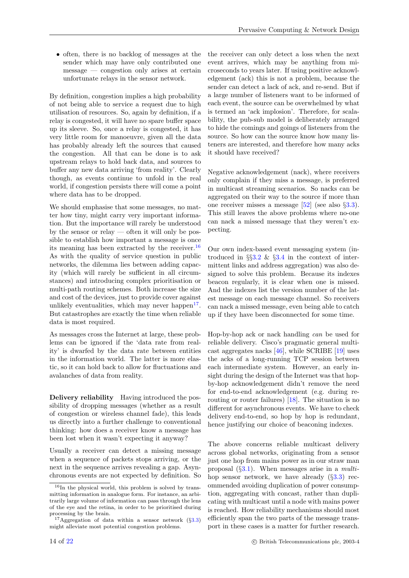• often, there is no backlog of messages at the sender which may have only contributed one message — congestion only arises at certain unfortunate relays in the sensor network.

By definition, congestion implies a high probability of not being able to service a request due to high utilisation of resources. So, again by definition, if a relay is congested, it will have no spare buffer space up its sleeve. So, once a relay is congested, it has very little room for manoeuvre, given all the data has probably already left the sources that caused the congestion. All that can be done is to ask upstream relays to hold back data, and sources to buffer any new data arriving 'from reality'. Clearly though, as events continue to unfold in the real world, if congestion persists there will come a point where data has to be dropped.

We should emphasise that some messages, no matter how tiny, might carry very important information. But the importance will rarely be understood by the sensor or relay — often it will only be possible to establish how important a message is once its meaning has been extracted by the receiver.  $16$ As with the quality of service question in public networks, the dilemma lies between adding capacity (which will rarely be sufficient in all circumstances) and introducing complex prioritisation or multi-path routing schemes. Both increase the size and cost of the devices, just to provide cover against unlikely eventualities, which may never happen $17$ . But catastrophes are exactly the time when reliable data is most required.

As messages cross the Internet at large, these problems can be ignored if the 'data rate from reality' is dwarfed by the data rate between entities in the information world. The latter is more elastic, so it can hold back to allow for fluctuations and avalanches of data from reality.

Delivery reliability Having introduced the possibility of dropping messages (whether as a result of congestion or wireless channel fade), this leads us directly into a further challenge to conventional thinking: how does a receiver know a message has been lost when it wasn't expecting it anyway?

Usually a receiver can detect a missing message when a sequence of packets stops arriving, or the next in the sequence arrives revealing a gap. Asynchronous events are not expected by definition. So the receiver can only detect a loss when the next event arrives, which may be anything from microseconds to years later. If using positive acknowledgement (ack) this is not a problem, because the sender can detect a lack of ack, and re-send. But if a large number of listeners want to be informed of each event, the source can be overwhelmed by what is termed an 'ack implosion'. Therefore, for scalability, the pub-sub model is deliberately arranged to hide the comings and goings of listeners from the source. So how can the source know how many listeners are interested, and therefore how many acks it should have received?

Negative acknowledgement (nack), where receivers only complain if they miss a message, is preferred in multicast streaming scenarios. So nacks can be aggregated on their way to the source if more than one receiver misses a message  $[52]$  (see also  $\S 3.3$ ). This still leaves the above problems where no-one can nack a missed message that they weren't expecting.

Our own index-based event messaging system (introduced in  $\S 3.2 \& \S 3.4$  $\S 3.2 \& \S 3.4$  $\S 3.2 \& \S 3.4$  $\S 3.2 \& \S 3.4$  in the context of intermittent links and address aggregation) was also designed to solve this problem. Because its indexes beacon regularly, it is clear when one is missed. And the indexes list the version number of the latest message on each message channel. So receivers can nack a missed message, even being able to catch up if they have been disconnected for some time.

Hop-by-hop ack or nack handling can be used for reliable delivery. Cisco's pragmatic general multicast aggregates nacks [\[46\]](#page-20-2), while SCRIBE [\[19\]](#page-18-18) uses the acks of a long-running TCP session between each intermediate system. However, an early insight during the design of the Internet was that hopby-hop acknowledgement didn't remove the need for end-to-end acknowledgement (e.g. during rerouting or router failures) [\[18\]](#page-18-17). The situation is no different for asynchronous events. We have to check delivery end-to-end, so hop by hop is redundant, hence justifying our choice of beaconing indexes.

The above concerns reliable multicast delivery across global networks, originating from a sensor just one hop from mains power as in our straw man proposal  $(\S3.1)$  $(\S3.1)$ . When messages arise in a *multi*hop sensor network, we have already  $(\S3.3)$  $(\S3.3)$  recommended avoiding duplication of power consumption, aggregating with concast, rather than duplicating with multicast until a node with mains power is reached. How reliability mechanisms should most efficiently span the two parts of the message transport in these cases is a matter for further research.

<span id="page-13-0"></span><sup>16</sup>In the physical world, this problem is solved by transmitting information in analogue form. For instance, an arbitrarily large volume of information can pass through the lens of the eye and the retina, in order to be prioritised during processing by the brain.

<span id="page-13-1"></span><sup>&</sup>lt;sup>17</sup>Aggregation of data within a sensor network  $(\S3.3)$  $(\S3.3)$ might alleviate most potential congestion problems.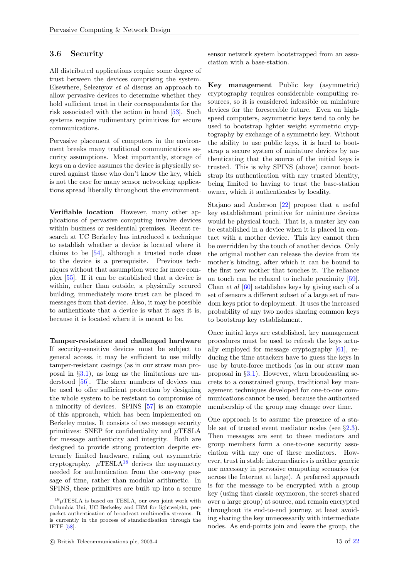#### <span id="page-14-0"></span>3.6 Security

All distributed applications require some degree of trust between the devices comprising the system. Elsewhere, Seleznyov et al discuss an approach to allow pervasive devices to determine whether they hold sufficient trust in their correspondents for the risk associated with the action in hand [\[53\]](#page-20-9). Such systems require rudimentary primitives for secure communications.

Pervasive placement of computers in the environment breaks many traditional communications security assumptions. Most importantly, storage of keys on a device assumes the device is physically secured against those who don't know the key, which is not the case for many sensor networking applications spread liberally throughout the environment.

Verifiable location However, many other applications of pervasive computing involve devices within business or residential premises. Recent research at UC Berkeley has introduced a technique to establish whether a device is located where it claims to be [\[54\]](#page-20-10), although a trusted node close to the device is a prerequisite. Previous techniques without that assumption were far more complex [\[55\]](#page-20-11). If it can be established that a device is within, rather than outside, a physically secured building, immediately more trust can be placed in messages from that device. Also, it may be possible to authenticate that a device is what it says it is, because it is located where it is meant to be.

Tamper-resistance and challenged hardware If security-sensitive devices must be subject to general access, it may be sufficient to use mildly tamper-resistant casings (as in our straw man proposal in §[3.1\)](#page-7-3), as long as the limitations are understood [\[56\]](#page-20-12). The sheer numbers of devices can be used to offer sufficient protection by designing the whole system to be resistant to compromise of a minority of devices. SPINS [\[57\]](#page-20-13) is an example of this approach, which has been implemented on Berkeley motes. It consists of two message security primitives: SNEP for confidentiality and  $\mu$ TESLA for message authenticity and integrity. Both are designed to provide strong protection despite extremely limited hardware, ruling out asymmetric cryptography.  $\mu$ TESLA<sup>[18](#page-14-1)</sup> derives the asymmetry needed for authentication from the one-way passage of time, rather than modular arithmetic. In SPINS, these primitives are built up into a secure

sensor network system bootstrapped from an association with a base-station.

Key management Public key (asymmetric) cryptography requires considerable computing resources, so it is considered infeasible on miniature devices for the foreseeable future. Even on highspeed computers, asymmetric keys tend to only be used to bootstrap lighter weight symmetric cryptography by exchange of a symmetric key. Without the ability to use public keys, it is hard to bootstrap a secure system of miniature devices by authenticating that the source of the initial keys is trusted. This is why SPINS (above) cannot bootstrap its authentication with any trusted identity, being limited to having to trust the base-station owner, which it authenticates by locality.

Stajano and Anderson [\[22\]](#page-18-21) propose that a useful key establishment primitive for miniature devices would be physical touch. That is, a master key can be established in a device when it is placed in contact with a mother device. This key cannot then be overridden by the touch of another device. Only the original mother can release the device from its mother's binding, after which it can be bound to the first new mother that touches it. The reliance on touch can be relaxed to include proximity [\[59\]](#page-20-15). Chan *et al*  $[60]$  establishes keys by giving each of a set of sensors a different subset of a large set of random keys prior to deployment. It uses the increased probability of any two nodes sharing common keys to bootstrap key establishment.

Once initial keys are established, key management procedures must be used to refresh the keys actually employed for message cryptography [\[61\]](#page-20-17), reducing the time attackers have to guess the keys in use by brute-force methods (as in our straw man proposal in §[3.1\)](#page-7-3). However, when broadcasting secrets to a constrained group, traditional key management techniques developed for one-to-one communications cannot be used, because the authorised membership of the group may change over time.

One approach is to assume the presence of a stable set of trusted event mediator nodes (see  $\S 2.3$ ). Then messages are sent to these mediators and group members form a one-to-one security association with any one of these mediators. However, trust in stable intermediaries is neither generic nor necessary in pervasive computing scenarios (or across the Internet at large). A preferred approach is for the message to be encrypted with a group key (using that classic oxymoron, the secret shared over a large group) at source, and remain encrypted throughout its end-to-end journey, at least avoiding sharing the key unnecessarily with intermediate nodes. As end-points join and leave the group, the

<span id="page-14-1"></span> $18 \mu$ TESLA is based on TESLA, our own joint work with Columbia Uni, UC Berkeley and IBM for lightweight, perpacket authentication of broadcast multimedia streams. It is currently in the process of standardisation through the IETF [\[58\]](#page-20-14).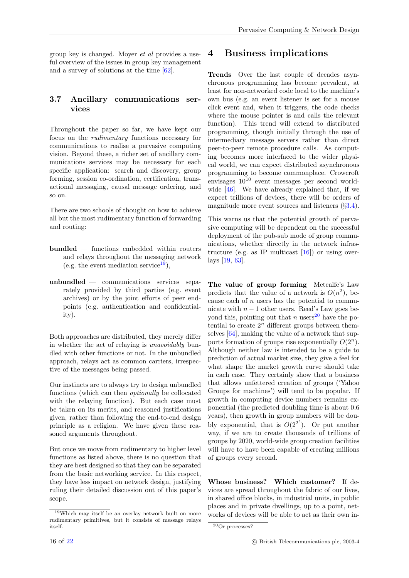group key is changed. Moyer et al provides a useful overview of the issues in group key management and a survey of solutions at the time [\[62\]](#page-20-18).

### 3.7 Ancillary communications services

Throughout the paper so far, we have kept our focus on the rudimentary functions necessary for communications to realise a pervasive computing vision. Beyond these, a richer set of ancillary communications services may be necessary for each specific application: search and discovery, group forming, session co-ordination, certification, transactional messaging, causal message ordering, and so on.

There are two schools of thought on how to achieve all but the most rudimentary function of forwarding and routing:

- bundled functions embedded within routers and relays throughout the messaging network (e.g. the event mediation service $19$ ),
- unbundled communications services separately provided by third parties (e.g. event archives) or by the joint efforts of peer endpoints (e.g. authentication and confidentiality).

Both approaches are distributed, they merely differ in whether the act of relaying is unavoidably bundled with other functions or not. In the unbundled approach, relays act as common carriers, irrespective of the messages being passed.

Our instincts are to always try to design unbundled functions (which can then optionally be collocated with the relaying function). But each case must be taken on its merits, and reasoned justifications given, rather than following the end-to-end design principle as a religion. We have given these reasoned arguments throughout.

But once we move from rudimentary to higher level functions as listed above, there is no question that they are best designed so that they can be separated from the basic networking service. In this respect, they have less impact on network design, justifying ruling their detailed discussion out of this paper's scope.

## 4 Business implications

Trends Over the last couple of decades asynchronous programming has become prevalent, at least for non-networked code local to the machine's own bus (e.g. an event listener is set for a mouse click event and, when it triggers, the code checks where the mouse pointer is and calls the relevant function). This trend will extend to distributed programming, though initially through the use of intermediary message servers rather than direct peer-to-peer remote procedure calls. As computing becomes more interfaced to the wider physical world, we can expect distributed asynchronous programming to become commonplace. Crowcroft envisages  $10^{10}$  event messages per second worldwide [\[46\]](#page-20-2). We have already explained that, if we expect trillions of devices, there will be orders of magnitude more event sources and listeners  $(\S3.4)$  $(\S3.4)$ .

This warns us that the potential growth of pervasive computing will be dependent on the successful deployment of the pub-sub mode of group communications, whether directly in the network infrastructure (e.g. as IP multicast  $[16]$ ) or using overlays [\[19,](#page-18-18) [63\]](#page-20-19).

The value of group forming Metcalfe's Law predicts that the value of a network is  $O(n^2)$ , because each of n users has the potential to communicate with  $n - 1$  other users. Reed's Law goes be-yond this, pointing out that n users<sup>[20](#page-15-1)</sup> have the potential to create  $2<sup>n</sup>$  different groups between themselves [\[64\]](#page-20-20), making the value of a network that supports formation of groups rise exponentially  $O(2^n)$ . Although neither law is intended to be a guide to prediction of actual market size, they give a feel for what shape the market growth curve should take in each case. They certainly show that a business that allows unfettered creation of groups ('Yahoo Groups for machines') will tend to be popular. If growth in computing device numbers remains exponential (the predicted doubling time is about 0.6 years), then growth in group numbers will be doubly exponential, that is  $O(2^{2^t})$ . Or put another way, if we are to create thousands of trillions of groups by 2020, world-wide group creation facilities will have to have been capable of creating millions of groups every second.

Whose business? Which customer? If devices are spread throughout the fabric of our lives, in shared office blocks, in industrial units, in public places and in private dwellings, up to a point, networks of devices will be able to act as their own in-

<span id="page-15-0"></span><sup>19</sup>Which may itself be an overlay network built on more rudimentary primitives, but it consists of message relays itself.

<span id="page-15-1"></span> $20$ Or processes?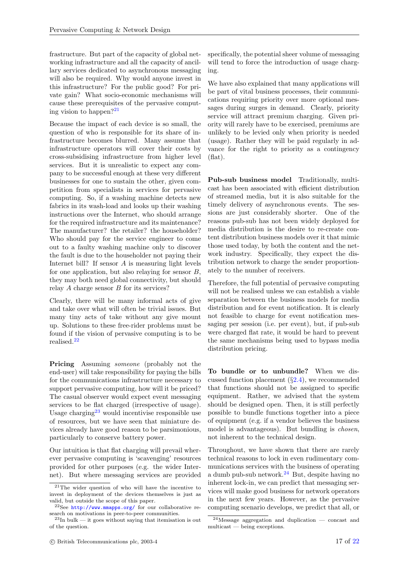frastructure. But part of the capacity of global networking infrastructure and all the capacity of ancillary services dedicated to asynchronous messaging will also be required. Why would anyone invest in this infrastructure? For the public good? For private gain? What socio-economic mechanisms will cause these prerequisites of the pervasive computing vision to happen? $21$ 

Because the impact of each device is so small, the question of who is responsible for its share of infrastructure becomes blurred. Many assume that infrastructure operators will cover their costs by cross-subsidising infrastructure from higher level services. But it is unrealistic to expect any company to be successful enough at these very different businesses for one to sustain the other, given competition from specialists in services for pervasive computing. So, if a washing machine detects new fabrics in its wash-load and looks up their washing instructions over the Internet, who should arrange for the required infrastructure and its maintenance? The manufacturer? the retailer? the householder? Who should pay for the service engineer to come out to a faulty washing machine only to discover the fault is due to the householder not paying their Internet bill? If sensor A is measuring light levels for one application, but also relaying for sensor  $B$ . they may both need global connectivity, but should relay A charge sensor B for its services?

Clearly, there will be many informal acts of give and take over what will often be trivial issues. But many tiny acts of take without any give mount up. Solutions to these free-rider problems must be found if the vision of pervasive computing is to be realised.[22](#page-16-1)

Pricing Assuming *someone* (probably not the end-user) will take responsibility for paying the bills for the communications infrastructure necessary to support pervasive computing, how will it be priced? The casual observer would expect event messaging services to be flat charged (irrespective of usage). Usage charging $^{23}$  $^{23}$  $^{23}$  would incentivise responsible use of resources, but we have seen that miniature devices already have good reason to be parsimonious, particularly to conserve battery power.

Our intuition is that flat charging will prevail wherever pervasive computing is 'scavenging' resources provided for other purposes (e.g. the wider Internet). But where messaging services are provided We have also explained that many applications will be part of vital business processes, their communications requiring priority over more optional messages during surges in demand. Clearly, priority service will attract premium charging. Given priority will rarely have to be exercised, premiums are unlikely to be levied only when priority is needed (usage). Rather they will be paid regularly in advance for the right to priority as a contingency (flat).

Pub-sub business model Traditionally, multicast has been associated with efficient distribution of streamed media, but it is also suitable for the timely delivery of asynchronous events. The sessions are just considerably shorter. One of the reasons pub-sub has not been widely deployed for media distribution is the desire to re-create content distribution business models over it that mimic those used today, by both the content and the network industry. Specifically, they expect the distribution network to charge the sender proportionately to the number of receivers.

Therefore, the full potential of pervasive computing will not be realised unless we can establish a viable separation between the business models for media distribution and for event notification. It is clearly not feasible to charge for event notification messaging per session (i.e. per event), but, if pub-sub were charged flat rate, it would be hard to prevent the same mechanisms being used to bypass media distribution pricing.

To bundle or to unbundle? When we discussed function placement (§[2.4\)](#page-5-0), we recommended that functions should not be assigned to specific equipment. Rather, we advised that the system should be designed open. Then, it is still perfectly possible to bundle functions together into a piece of equipment (e.g. if a vendor believes the business model is advantageous). But bundling is *chosen*, not inherent to the technical design.

Throughout, we have shown that there are rarely technical reasons to lock in even rudimentary communications services with the business of operating a dumb pub-sub network. $^{24}$  $^{24}$  $^{24}$  But, despite having no inherent lock-in, we can predict that messaging services will make good business for network operators in the next few years. However, as the pervasive computing scenario develops, we predict that all, or

<span id="page-16-0"></span> $21$ The wider question of who will have the incentive to invest in deployment of the devices themselves is just as valid, but outside the scope of this paper.

<span id="page-16-1"></span><sup>22</sup>See <http://www.mmapps.org/> for our collaborative research on motivations in peer-to-peer communities.

<span id="page-16-2"></span> $^{23}$ In bulk — it goes without saying that itemisation is out of the question.

<span id="page-16-3"></span> $^{24}$ Message aggregation and duplication — concast and multicast — being exceptions.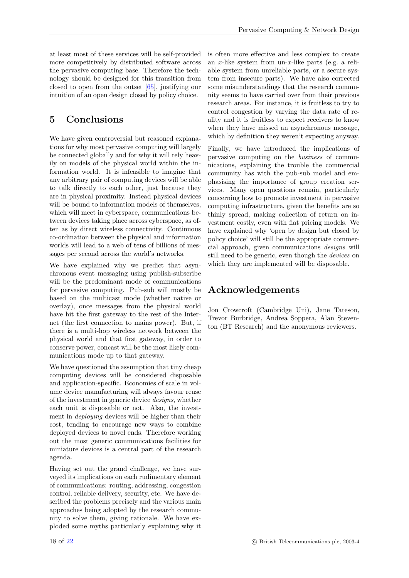at least most of these services will be self-provided more competitively by distributed software across the pervasive computing base. Therefore the technology should be designed for this transition from closed to open from the outset [\[65\]](#page-20-21), justifying our intuition of an open design closed by policy choice.

## 5 Conclusions

We have given controversial but reasoned explanations for why most pervasive computing will largely be connected globally and for why it will rely heavily on models of the physical world within the information world. It is infeasible to imagine that any arbitrary pair of computing devices will be able to talk directly to each other, just because they are in physical proximity. Instead physical devices will be bound to information models of themselves, which will meet in cyberspace, communications between devices taking place across cyberspace, as often as by direct wireless connectivity. Continuous co-ordination between the physical and information worlds will lead to a web of tens of billions of messages per second across the world's networks.

We have explained why we predict that asynchronous event messaging using publish-subscribe will be the predominant mode of communications for pervasive computing. Pub-sub will mostly be based on the multicast mode (whether native or overlay), once messages from the physical world have hit the first gateway to the rest of the Internet (the first connection to mains power). But, if there is a multi-hop wireless network between the physical world and that first gateway, in order to conserve power, concast will be the most likely communications mode up to that gateway.

We have questioned the assumption that tiny cheap computing devices will be considered disposable and application-specific. Economies of scale in volume device manufacturing will always favour reuse of the investment in generic device designs, whether each unit is disposable or not. Also, the investment in deploying devices will be higher than their cost, tending to encourage new ways to combine deployed devices to novel ends. Therefore working out the most generic communications facilities for miniature devices is a central part of the research agenda.

Having set out the grand challenge, we have surveyed its implications on each rudimentary element of communications: routing, addressing, congestion control, reliable delivery, security, etc. We have described the problems precisely and the various main approaches being adopted by the research community to solve them, giving rationale. We have exploded some myths particularly explaining why it

is often more effective and less complex to create an x-like system from un-x-like parts (e.g. a reliable system from unreliable parts, or a secure system from insecure parts). We have also corrected some misunderstandings that the research community seems to have carried over from their previous research areas. For instance, it is fruitless to try to control congestion by varying the data rate of reality and it is fruitless to expect receivers to know when they have missed an asynchronous message, which by definition they weren't expecting anyway.

Finally, we have introduced the implications of pervasive computing on the business of communications, explaining the trouble the commercial community has with the pub-sub model and emphasising the importance of group creation services. Many open questions remain, particularly concerning how to promote investment in pervasive computing infrastructure, given the benefits are so thinly spread, making collection of return on investment costly, even with flat pricing models. We have explained why 'open by design but closed by policy choice' will still be the appropriate commercial approach, given communications designs will still need to be generic, even though the *devices* on which they are implemented will be disposable.

## Acknowledgements

Jon Crowcroft (Cambridge Uni), Jane Tateson, Trevor Burbridge, Andrea Soppera, Alan Steventon (BT Research) and the anonymous reviewers.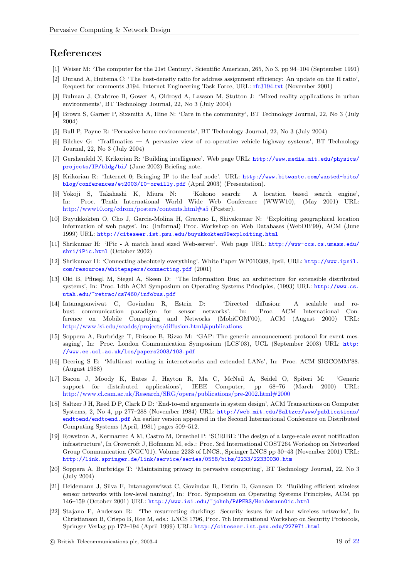### References

- <span id="page-18-0"></span>[1] Weiser M: 'The computer for the 21st Century', Scientific American, 265, No 3, pp 94–104 (September 1991)
- <span id="page-18-1"></span>[2] Durand A, Huitema C: 'The host-density ratio for address assignment efficiency: An update on the H ratio', Request for comments 3194, Internet Engineering Task Force, URL: [rfc3194.txt](http://www.ietf.org/rfc/rfc3194.txt) (November 2001)
- <span id="page-18-2"></span>[3] Bulman J, Crabtree B, Gower A, Oldroyd A, Lawson M, Stutton J: 'Mixed reality applications in urban environments', BT Technology Journal, 22, No 3 (July 2004)
- <span id="page-18-3"></span>[4] Brown S, Garner P, Sixsmith A, Hine N: 'Care in the community', BT Technology Journal, 22, No 3 (July 2004)
- <span id="page-18-4"></span>[5] Bull P, Payne R: 'Pervasive home environments', BT Technology Journal, 22, No 3 (July 2004)
- <span id="page-18-5"></span>[6] Bilchev G: 'Traffimatics — A pervasive view of co-operative vehicle highway systems', BT Technology Journal, 22, No 3 (July 2004)
- <span id="page-18-6"></span>[7] Gershenfeld N, Krikorian R: 'Building intelligence'. Web page URL: [http://www.media.mit.edu/physics/](http://www.media.mit.edu/physics/projects/IP/bldg/bi/) [projects/IP/bldg/bi/](http://www.media.mit.edu/physics/projects/IP/bldg/bi/) (June 2002) Briefing note.
- <span id="page-18-7"></span>[8] Krikorian R: 'Internet 0; Bringing IP to the leaf node'. URL: [http://www.bitwaste.com/wasted-bits/](http://www.bitwaste.com/wasted-bits/blog/conferences/et2003/I0-oreilly.pdf) [blog/conferences/et2003/I0-oreilly.pdf](http://www.bitwaste.com/wasted-bits/blog/conferences/et2003/I0-oreilly.pdf) (April 2003) (Presentation).
- <span id="page-18-8"></span>[9] Yokoji S, Takahashi K, Miura N: 'Kokono search: A location based search engine', In: Proc. Tenth International World Wide Web Conference (WWW10), (May 2001) URL: <http://www10.org/cdrom/posters/contents.html#a5> (Poster).
- <span id="page-18-9"></span>[10] Buyukkokten O, Cho J, Garcia-Molina H, Gravano L, Shivakumar N: 'Exploiting geographical location information of web pages', In: (Informal) Proc. Workshop on Web Databases (WebDB'99), ACM (June 1999) URL: <http://citeseer.ist.psu.edu/buyukkokten99exploiting.html>
- <span id="page-18-10"></span>[11] Shrikumar H: 'IPic - A match head sized Web-server'. Web page URL: [http://www-ccs.cs.umass.edu/](http://www-ccs.cs.umass.edu/shri/iPic.html) [shri/iPic.html](http://www-ccs.cs.umass.edu/shri/iPic.html) (October 2002)
- <span id="page-18-11"></span>[12] Shrikumar H: 'Connecting absolutely everything', White Paper WP010308, Ipsil, URL: [http://www.ipsil.](http://www.ipsil.com/resources/whitepapers/connecting.pdf) [com/resources/whitepapers/connecting.pdf](http://www.ipsil.com/resources/whitepapers/connecting.pdf) (2001)
- <span id="page-18-12"></span>[13] Oki B, Pfluegl M, Siegel A, Skeen D: 'The Information Bus; an architecture for extensible distributed systems', In: Proc. 14th ACM Symposium on Operating Systems Principles, (1993) URL: [http://www.cs.](http://www.cs.utah.edu/~retrac/cs7460/infobus.pdf) [utah.edu/~retrac/cs7460/infobus.pdf](http://www.cs.utah.edu/~retrac/cs7460/infobus.pdf)
- <span id="page-18-13"></span>[14] Intanagonwiwat C, Govindan R, Estrin D: 'Directed diffusion: A scalable and robust communication paradigm for sensor networks', In: Proc. ACM International Conference on Mobile Computing and Networks (MobiCOM'00), ACM (August 2000) URL: <http://www.isi.edu/scadds/projects/diffusion.html#publications>
- <span id="page-18-14"></span>[15] Soppera A, Burbridge T, Briscoe B, Rizzo M: 'GAP: The generic announcement protocol for event messaging', In: Proc. London Communication Symposium (LCS'03), UCL (September 2003) URL: [http:](http://www.ee.ucl.ac.uk/lcs/papers2003/103.pdf) [//www.ee.ucl.ac.uk/lcs/papers2003/103.pdf](http://www.ee.ucl.ac.uk/lcs/papers2003/103.pdf)
- <span id="page-18-15"></span>[16] Deering S E: 'Multicast routing in internetworks and extended LANs', In: Proc. ACM SIGCOMM'88. (August 1988)
- <span id="page-18-16"></span>[17] Bacon J, Moody K, Bates J, Hayton R, Ma C, McNeil A, Seidel O, Spiteri M: 'Generic support for distributed applications', IEEE Computer, pp 68–76 (March 2000) URL: <http://www.cl.cam.ac.uk/Research/SRG/opera/publications/pre-2002.html#2000>
- <span id="page-18-17"></span>[18] Saltzer J H, Reed D P, Clark D D: 'End-to-end arguments in system design', ACM Transactions on Computer Systems, 2, No 4, pp 277–288 (November 1984) URL: [http://web.mit.edu/Saltzer/www/publications/](http://web.mit.edu/Saltzer/www/publications/endtoend/endtoend.pdf) [endtoend/endtoend.pdf](http://web.mit.edu/Saltzer/www/publications/endtoend/endtoend.pdf) An earlier version appeared in the Second International Conference on Distributed Computing Systems (April, 1981) pages 509–512.
- <span id="page-18-18"></span>[19] Rowstron A, Kermarrec A M, Castro M, Druschel P: 'SCRIBE: The design of a large-scale event notification infrastructure', In Crowcroft J, Hofmann M, eds.: Proc. 3rd International COST264 Workshop on Networked Group Communication (NGC'01). Volume 2233 of LNCS., Springer LNCS pp 30–43 (November 2001) URL: <http://link.springer.de/link/service/series/0558/bibs/2233/22330030.htm>
- <span id="page-18-19"></span>[20] Soppera A, Burbridge T: 'Maintaining privacy in pervasive computing', BT Technology Journal, 22, No 3 (July 2004)
- <span id="page-18-20"></span>[21] Heidemann J, Silva F, Intanagonwiwat C, Govindan R, Estrin D, Ganesan D: 'Building efficient wireless sensor networks with low-level naming', In: Proc. Symposium on Operating Systems Principles, ACM pp 146–159 (October 2001) URL: <http://www.isi.edu/~johnh/PAPERS/Heidemann01c.html>
- <span id="page-18-21"></span>[22] Stajano F, Anderson R: 'The resurrecting duckling: Security issues for ad-hoc wireless networks', In Christianson B, Crispo B, Roe M, eds.: LNCS 1796, Proc. 7th International Workshop on Security Protocols, Springer Verlag pp 172–194 (April 1999) URL: <http://citeseer.ist.psu.edu/227971.html>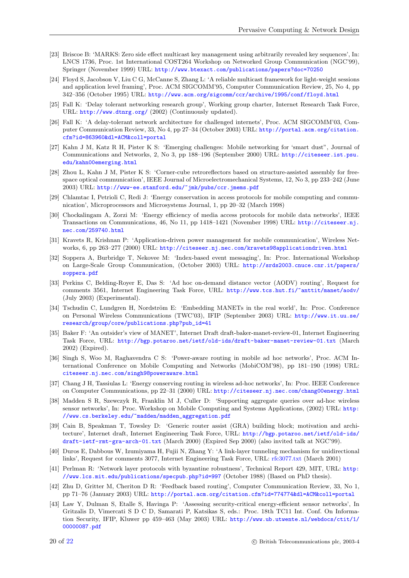- <span id="page-19-0"></span>[23] Briscoe B: 'MARKS: Zero side effect multicast key management using arbitrarily revealed key sequences', In: LNCS 1736, Proc. 1st International COST264 Workshop on Networked Group Communication (NGC'99), Springer (November 1999) URL: <http://www.btexact.com/publications/papers?doc=70250>
- <span id="page-19-1"></span>[24] Floyd S, Jacobson V, Liu C G, McCanne S, Zhang L: 'A reliable multicast framework for light-weight sessions and application level framing', Proc. ACM SIGCOMM'95, Computer Communication Review, 25, No 4, pp 342–356 (October 1995) URL: <http://www.acm.org/sigcomm/ccr/archive/1995/conf/floyd.html>
- <span id="page-19-2"></span>[25] Fall K: 'Delay tolerant networking research group', Working group charter, Internet Research Task Force, URL: <http://www.dtnrg.org/> (2002) (Continuously updated).
- <span id="page-19-3"></span>[26] Fall K: 'A delay-tolerant network architecture for challenged internets', Proc. ACM SIGCOMM'03, Computer Communication Review, 33, No 4, pp 27–34 (October 2003) URL: [http://portal.acm.org/citation.](http://portal.acm.org/citation.cfm?id=863960&dl=ACM&coll=portal) [cfm?id=863960&dl=ACM&coll=portal](http://portal.acm.org/citation.cfm?id=863960&dl=ACM&coll=portal)
- <span id="page-19-4"></span>[27] Kahn J M, Katz R H, Pister K S: 'Emerging challenges: Mobile networking for 'smart dust", Journal of Communications and Networks, 2, No 3, pp 188–196 (September 2000) URL: [http://citeseer.ist.psu.](http://citeseer.ist.psu.edu/kahn00emerging.html) [edu/kahn00emerging.html](http://citeseer.ist.psu.edu/kahn00emerging.html)
- <span id="page-19-5"></span>[28] Zhou L, Kahn J M, Pister K S: 'Corner-cube retroreflectors based on structure-assisted assembly for freespace optical communication', IEEE Journal of Microelectromechanical Systems, 12, No 3, pp 233–242 (June 2003) URL: <http://www-ee.stanford.edu/~jmk/pubs/ccr.jmems.pdf>
- <span id="page-19-6"></span>[29] Chlamtac I, Petrioli C, Redi J: 'Energy conservation in access protocols for mobile computing and communication', Microprocessors and Microsystems Journal, 1, pp 20–32 (March 1998)
- <span id="page-19-7"></span>[30] Chockalingam A, Zorzi M: 'Energy efficiency of media access protocols for mobile data networks', IEEE Transactions on Communications, 46, No 11, pp 1418–1421 (November 1998) URL: [http://citeseer.nj.](http://citeseer.nj.nec.com/259740.html) [nec.com/259740.html](http://citeseer.nj.nec.com/259740.html)
- <span id="page-19-8"></span>[31] Kravets R, Krishnan P: 'Application-driven power management for mobile communication', Wireless Networks, 6, pp 263-277 (2000) URL: <http://citeseer.nj.nec.com/kravets98applicationdriven.html>
- <span id="page-19-9"></span>[32] Soppera A, Burbridge T, Nekovee M: 'Index-based event messaging', In: Proc. International Workshop on Large-Scale Group Communication, (October 2003) URL: [http://srds2003.cnuce.cnr.it/papers/](http://srds2003.cnuce.cnr.it/papers/soppera.pdf) [soppera.pdf](http://srds2003.cnuce.cnr.it/papers/soppera.pdf)
- <span id="page-19-10"></span>[33] Perkins C, Belding-Royer E, Das S: 'Ad hoc on-demand distance vector (AODV) routing', Request for comments 3561, Internet Engineering Task Force, URL: <http://www.tcs.hut.fi/~anttit/manet/aodv/> (July 2003) (Experimental).
- <span id="page-19-11"></span>[34] Tschudin C, Lundgren H, Nordström E: 'Embedding MANETs in the real world', In: Proc. Conference on Personal Wireless Communications (TWC'03), IFIP (September 2003) URL: [http://www.it.uu.se/](http://www.it.uu.se/research/group/core/publications.php?pub_id=41) [research/group/core/publications.php?pub\\_id=41](http://www.it.uu.se/research/group/core/publications.php?pub_id=41)
- <span id="page-19-12"></span>[35] Baker F: 'An outsider's view of MANET', Internet Draft draft-baker-manet-review-01, Internet Engineering Task Force, URL: <http://bgp.potaroo.net/ietf/old-ids/draft-baker-manet-review-01.txt> (March 2002) (Expired).
- <span id="page-19-13"></span>[36] Singh S, Woo M, Raghavendra C S: 'Power-aware routing in mobile ad hoc networks', Proc. ACM International Conference on Mobile Computing and Networks (MobiCOM'98), pp 181–190 (1998) URL: <citeseer.nj.nec.com/singh98poweraware.html>
- <span id="page-19-14"></span>[37] Chang J H, Tassiulas L: 'Energy conserving routing in wireless ad-hoc networks', In: Proc. IEEE Conference on Computer Communications, pp 22-31 (2000) URL: <http://citeseer.nj.nec.com/chang00energy.html>
- <span id="page-19-15"></span>[38] Madden S R, Szewczyk R, Franklin M J, Culler D: 'Supporting aggregate queries over ad-hoc wireless sensor networks', In: Proc. Workshop on Mobile Computing and Systems Applications, (2002) URL: [http:](http://www.cs.berkeley.edu/~madden/madden_aggregation.pdf) [//www.cs.berkeley.edu/~madden/madden\\_aggregation.pdf](http://www.cs.berkeley.edu/~madden/madden_aggregation.pdf)
- <span id="page-19-16"></span>[39] Cain B, Speakman T, Towsley D: 'Generic router assist (GRA) building block; motivation and architecture', Internet draft, Internet Engineering Task Force, URL: [http://bgp.potaroo.net/ietf/old-ids/](http://bgp.potaroo.net/ietf/old-ids/draft-ietf-rmt-gra-arch-01.txt) [draft-ietf-rmt-gra-arch-01.txt](http://bgp.potaroo.net/ietf/old-ids/draft-ietf-rmt-gra-arch-01.txt) (March 2000) (Expired Sep 2000) (also invited talk at NGC'99).
- <span id="page-19-17"></span>[40] Duros E, Dabbous W, Izumiyama H, Fujii N, Zhang Y: 'A link-layer tunneling mechanism for unidirectional links', Request for comments 3077, Internet Engineering Task Force, URL: [rfc3077.txt](http://www.ietf.org/rfc/rfc3077.txt) (March 2001)
- <span id="page-19-18"></span>[41] Perlman R: 'Network layer protocols with byzantine robustness', Technical Report 429, MIT, URL: [http:](http://www.lcs.mit.edu/publications/specpub.php?id=997) [//www.lcs.mit.edu/publications/specpub.php?id=997](http://www.lcs.mit.edu/publications/specpub.php?id=997) (October 1988) (Based on PhD thesis).
- <span id="page-19-19"></span>[42] Zhu D, Gritter M, Cheriton D R: 'Feedback based routing', Computer Communication Review, 33, No 1, pp 71–76 (January 2003) URL: <http://portal.acm.org/citation.cfm?id=774774&dl=ACM&coll=portal>
- <span id="page-19-20"></span>[43] Law Y, Dulman S, Etalle S, Havinga P: 'Assessing security-critical energy-efficient sensor networks', In Gritzalis D, Vimercati S D C D, Samarati P, Katsikas S, eds.: Proc. 18th TC11 Int. Conf. On Information Security, IFIP, Kluwer pp 459–463 (May 2003) URL: [http://www.ub.utwente.nl/webdocs/ctit/1/](http://www.ub.utwente.nl/webdocs/ctit/1/00000087.pdf) [00000087.pdf](http://www.ub.utwente.nl/webdocs/ctit/1/00000087.pdf)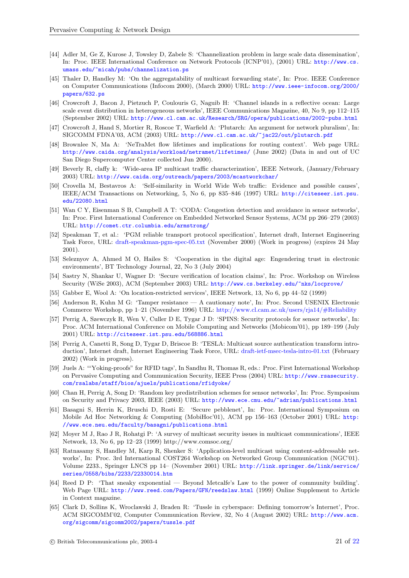- <span id="page-20-0"></span>[44] Adler M, Ge Z, Kurose J, Towsley D, Zabele S: 'Channelization problem in large scale data dissemination', In: Proc. IEEE International Conference on Network Protocols (ICNP'01), (2001) URL: [http://www.cs.](http://www.cs.umass.edu/~micah/pubs/channelization.ps) [umass.edu/~micah/pubs/channelization.ps](http://www.cs.umass.edu/~micah/pubs/channelization.ps)
- <span id="page-20-1"></span>[45] Thaler D, Handley M: 'On the aggregatability of multicast forwarding state', In: Proc. IEEE Conference on Computer Communications (Infocom 2000), (March 2000) URL: [http://www.ieee-infocom.org/2000/](http://www.ieee-infocom.org/2000/papers/632.ps) [papers/632.ps](http://www.ieee-infocom.org/2000/papers/632.ps)
- <span id="page-20-2"></span>[46] Crowcroft J, Bacon J, Pietzuch P, Coulouris G, Naguib H: 'Channel islands in a reflective ocean: Large scale event distribution in heterogeneous networks', IEEE Communications Magazine, 40, No 9, pp 112–115 (September 2002) URL: <http://www.cl.cam.ac.uk/Research/SRG/opera/publications/2002-pubs.html>
- <span id="page-20-3"></span>[47] Crowcroft J, Hand S, Mortier R, Roscoe T, Warfield A: 'Plutarch: An argument for network pluralism', In: SIGCOMM FDNA'03, ACM (2003) URL: <http://www.cl.cam.ac.uk/~jac22/out/plutarch.pdf>
- <span id="page-20-4"></span>[48] Brownlee N, Ma A: 'NeTraMet flow lifetimes and implications for routing context'. Web page URL: <http://www.caida.org/analysis/workload/netramet/lifetimes/> (June 2002) (Data in and out of UC San Diego Supercomputer Center collected Jun 2000).
- <span id="page-20-5"></span>[49] Beverly R, claffy k: 'Wide-area IP multicast traffic characterization', IEEE Network, (January/February 2003) URL: <http://www.caida.org/outreach/papers/2003/mcastworkchar/>
- <span id="page-20-6"></span>[50] Crovella M, Bestavros A: 'Self-similarity in World Wide Web traffic: Evidence and possible causes', IEEE/ACM Transactions on Networking, 5, No 6, pp 835–846 (1997) URL: [http://citeseer.ist.psu.](http://citeseer.ist.psu.edu/22080.html) [edu/22080.html](http://citeseer.ist.psu.edu/22080.html)
- <span id="page-20-7"></span>[51] Wan C Y, Eisenman S B, Campbell A T: 'CODA: Congestion detection and avoidance in sensor networks', In: Proc. First International Conference on Embedded Networked Sensor Systems, ACM pp 266–279 (2003) URL: <http://comet.ctr.columbia.edu/armstrong/>
- <span id="page-20-8"></span>[52] Speakman T, et al.: 'PGM reliable transport protocol specification', Internet draft, Internet Engineering Task Force, URL: [draft-speakman-pgm-spec-05.txt](http://www.ietf.org/internet-drafts/draft-speakman-pgm-spec-05.txt) (November 2000) (Work in progress) (expires 24 May 2001).
- <span id="page-20-9"></span>[53] Seleznyov A, Ahmed M O, Hailes S: 'Cooperation in the digital age: Engendering trust in electronic environments', BT Technology Journal, 22, No 3 (July 2004)
- <span id="page-20-10"></span>[54] Sastry N, Shankar U, Wagner D: 'Secure verification of location claims', In: Proc. Workshop on Wireless Security (WiSe 2003), ACM (September 2003) URL: <http://www.cs.berkeley.edu/~nks/locprove/>
- <span id="page-20-11"></span>[55] Gabber E, Wool A: 'On location-restricted services', IEEE Network, 13, No 6, pp 44–52 (1999)
- <span id="page-20-12"></span>[56] Anderson R, Kuhn M G: 'Tamper resistance — A cautionary note', In: Proc. Second USENIX Electronic Commerce Workshop, pp 1–21 (November 1996) URL: <http://www.cl.cam.ac.uk/users/rja14/#Reliability>
- <span id="page-20-13"></span>[57] Perrig A, Szewczyk R, Wen V, Culler D E, Tygar J D: 'SPINS: Security protocols for sensor networks', In: Proc. ACM International Conference on Mobile Computing and Networks (Mobicom'01), pp 189–199 (July 2001) URL: <http://citeseer.ist.psu.edu/568886.html>
- <span id="page-20-14"></span>[58] Perrig A, Canetti R, Song D, Tygar D, Briscoe B: 'TESLA: Multicast source authentication transform introduction', Internet draft, Internet Engineering Task Force, URL: [draft-ietf-msec-tesla-intro-01.txt](http://bgp.potaroo.net/ietf/old-ids/draft-ietf-msec-tesla-intro-01.txt) (February 2002) (Work in progress).
- <span id="page-20-15"></span>[59] Juels A: "'Yoking-proofs" for RFID tags', In Sandhu R, Thomas R, eds.: Proc. First International Workshop on Pervasive Computing and Communication Security, IEEE Press (2004) URL: [http://www.rsasecurity.](http://www.rsasecurity.com/rsalabs/staff/bios/ajuels/publications/rfidyoke/) [com/rsalabs/staff/bios/ajuels/publications/rfidyoke/](http://www.rsasecurity.com/rsalabs/staff/bios/ajuels/publications/rfidyoke/)
- <span id="page-20-16"></span>[60] Chan H, Perrig A, Song D: 'Random key predistribution schemes for sensor networks', In: Proc. Symposium on Security and Privacy 2003, IEEE (2003) URL: <http://www.ece.cmu.edu/~adrian/publications.html>
- <span id="page-20-17"></span>[61] Basagni S, Herrin K, Bruschi D, Rosti E: 'Secure pebblenet', In: Proc. International Symposium on Mobile Ad Hoc Networking & Computing (MobiHoc'01), ACM pp 156–163 (October 2001) URL: [http:](http://www.ece.neu.edu/faculty/basagni/publications.html) [//www.ece.neu.edu/faculty/basagni/publications.html](http://www.ece.neu.edu/faculty/basagni/publications.html)
- <span id="page-20-18"></span>[62] Moyer M J, Rao J R, Rohatgi P: 'A survey of multicast security issues in multicast communications', IEEE Network, 13, No 6, pp 12–23 (1999) http://www.comsoc.org/
- <span id="page-20-19"></span>[63] Ratnasamy S, Handley M, Karp R, Shenker S: 'Application-level multicast using content-addressable networks', In: Proc. 3rd International COST264 Workshop on Networked Group Communication (NGC'01). Volume 2233., Springer LNCS pp 14– (November 2001) URL: [http://link.springer.de/link/service/](http://link.springer.de/link/service/series/0558/bibs/2233/22330014.htm) [series/0558/bibs/2233/22330014.htm](http://link.springer.de/link/service/series/0558/bibs/2233/22330014.htm)
- <span id="page-20-20"></span>[64] Reed D P: 'That sneaky exponential — Beyond Metcalfe's Law to the power of community building'. Web Page URL: <http://www.reed.com/Papers/GFN/reedslaw.html> (1999) Online Supplement to Article in Context magazine.
- <span id="page-20-21"></span>[65] Clark D, Sollins K, Wroclawski J, Braden R: 'Tussle in cyberspace: Defining tomorrow's Internet', Proc. ACM SIGCOMM'02, Computer Communication Review, 32, No 4 (August 2002) URL: [http://www.acm.](http://www.acm.org/sigcomm/sigcomm2002/papers/tussle.pdf) [org/sigcomm/sigcomm2002/papers/tussle.pdf](http://www.acm.org/sigcomm/sigcomm2002/papers/tussle.pdf)